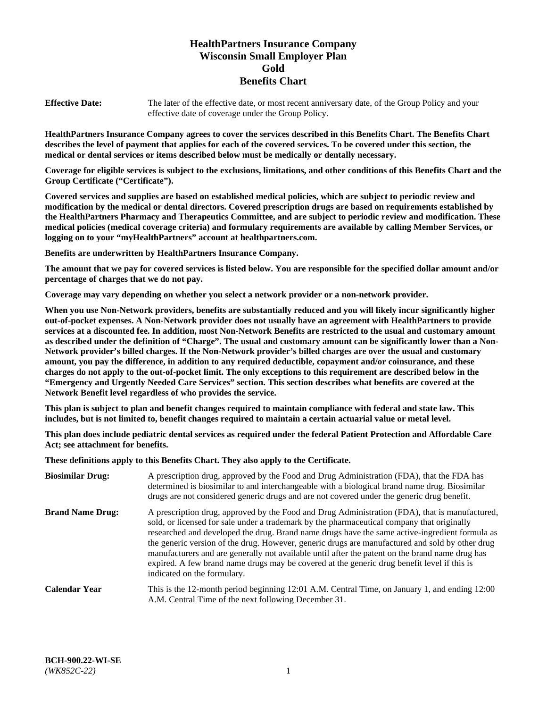# **HealthPartners Insurance Company Wisconsin Small Employer Plan Gold Benefits Chart**

**Effective Date:** The later of the effective date, or most recent anniversary date, of the Group Policy and your effective date of coverage under the Group Policy.

**HealthPartners Insurance Company agrees to cover the services described in this Benefits Chart. The Benefits Chart describes the level of payment that applies for each of the covered services. To be covered under this section, the medical or dental services or items described below must be medically or dentally necessary.**

**Coverage for eligible services is subject to the exclusions, limitations, and other conditions of this Benefits Chart and the Group Certificate ("Certificate").**

**Covered services and supplies are based on established medical policies, which are subject to periodic review and modification by the medical or dental directors. Covered prescription drugs are based on requirements established by the HealthPartners Pharmacy and Therapeutics Committee, and are subject to periodic review and modification. These medical policies (medical coverage criteria) and formulary requirements are available by calling Member Services, or logging on to your "myHealthPartners" account at [healthpartners.com.](https://www.healthpartners.com/hp/index.html)** 

**Benefits are underwritten by HealthPartners Insurance Company.**

**The amount that we pay for covered services is listed below. You are responsible for the specified dollar amount and/or percentage of charges that we do not pay.**

**Coverage may vary depending on whether you select a network provider or a non-network provider.**

**When you use Non-Network providers, benefits are substantially reduced and you will likely incur significantly higher out-of-pocket expenses. A Non-Network provider does not usually have an agreement with HealthPartners to provide services at a discounted fee. In addition, most Non-Network Benefits are restricted to the usual and customary amount as described under the definition of "Charge". The usual and customary amount can be significantly lower than a Non-Network provider's billed charges. If the Non-Network provider's billed charges are over the usual and customary amount, you pay the difference, in addition to any required deductible, copayment and/or coinsurance, and these charges do not apply to the out-of-pocket limit. The only exceptions to this requirement are described below in the "Emergency and Urgently Needed Care Services" section. This section describes what benefits are covered at the Network Benefit level regardless of who provides the service.**

**This plan is subject to plan and benefit changes required to maintain compliance with federal and state law. This includes, but is not limited to, benefit changes required to maintain a certain actuarial value or metal level.**

**This plan does include pediatric dental services as required under the federal Patient Protection and Affordable Care Act; see attachment for benefits.**

**These definitions apply to this Benefits Chart. They also apply to the Certificate.**

| <b>Biosimilar Drug:</b> | A prescription drug, approved by the Food and Drug Administration (FDA), that the FDA has<br>determined is biosimilar to and interchangeable with a biological brand name drug. Biosimilar<br>drugs are not considered generic drugs and are not covered under the generic drug benefit.                                                                                                                                                                                                                                                                                                                                           |
|-------------------------|------------------------------------------------------------------------------------------------------------------------------------------------------------------------------------------------------------------------------------------------------------------------------------------------------------------------------------------------------------------------------------------------------------------------------------------------------------------------------------------------------------------------------------------------------------------------------------------------------------------------------------|
| <b>Brand Name Drug:</b> | A prescription drug, approved by the Food and Drug Administration (FDA), that is manufactured,<br>sold, or licensed for sale under a trademark by the pharmaceutical company that originally<br>researched and developed the drug. Brand name drugs have the same active-ingredient formula as<br>the generic version of the drug. However, generic drugs are manufactured and sold by other drug<br>manufacturers and are generally not available until after the patent on the brand name drug has<br>expired. A few brand name drugs may be covered at the generic drug benefit level if this is<br>indicated on the formulary. |
| <b>Calendar Year</b>    | This is the 12-month period beginning 12:01 A.M. Central Time, on January 1, and ending 12:00<br>A.M. Central Time of the next following December 31.                                                                                                                                                                                                                                                                                                                                                                                                                                                                              |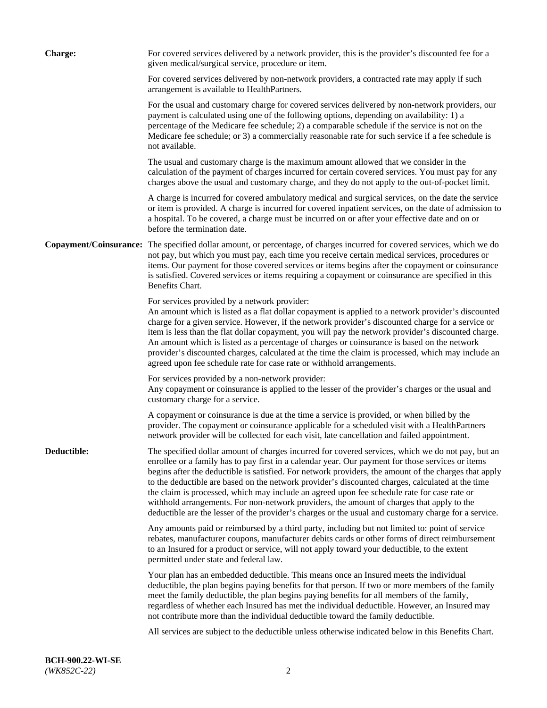| <b>Charge:</b> | For covered services delivered by a network provider, this is the provider's discounted fee for a<br>given medical/surgical service, procedure or item.                                                                                                                                                                                                                                                                                                                                                                                                                                                                                                                                                                 |
|----------------|-------------------------------------------------------------------------------------------------------------------------------------------------------------------------------------------------------------------------------------------------------------------------------------------------------------------------------------------------------------------------------------------------------------------------------------------------------------------------------------------------------------------------------------------------------------------------------------------------------------------------------------------------------------------------------------------------------------------------|
|                | For covered services delivered by non-network providers, a contracted rate may apply if such<br>arrangement is available to HealthPartners.                                                                                                                                                                                                                                                                                                                                                                                                                                                                                                                                                                             |
|                | For the usual and customary charge for covered services delivered by non-network providers, our<br>payment is calculated using one of the following options, depending on availability: 1) a<br>percentage of the Medicare fee schedule; 2) a comparable schedule if the service is not on the<br>Medicare fee schedule; or 3) a commercially reasonable rate for such service if a fee schedule is<br>not available.                                                                                                                                                                                                                                                                                                   |
|                | The usual and customary charge is the maximum amount allowed that we consider in the<br>calculation of the payment of charges incurred for certain covered services. You must pay for any<br>charges above the usual and customary charge, and they do not apply to the out-of-pocket limit.                                                                                                                                                                                                                                                                                                                                                                                                                            |
|                | A charge is incurred for covered ambulatory medical and surgical services, on the date the service<br>or item is provided. A charge is incurred for covered inpatient services, on the date of admission to<br>a hospital. To be covered, a charge must be incurred on or after your effective date and on or<br>before the termination date.                                                                                                                                                                                                                                                                                                                                                                           |
|                | Copayment/Coinsurance: The specified dollar amount, or percentage, of charges incurred for covered services, which we do<br>not pay, but which you must pay, each time you receive certain medical services, procedures or<br>items. Our payment for those covered services or items begins after the copayment or coinsurance<br>is satisfied. Covered services or items requiring a copayment or coinsurance are specified in this<br>Benefits Chart.                                                                                                                                                                                                                                                                 |
|                | For services provided by a network provider:<br>An amount which is listed as a flat dollar copayment is applied to a network provider's discounted<br>charge for a given service. However, if the network provider's discounted charge for a service or<br>item is less than the flat dollar copayment, you will pay the network provider's discounted charge.<br>An amount which is listed as a percentage of charges or coinsurance is based on the network<br>provider's discounted charges, calculated at the time the claim is processed, which may include an<br>agreed upon fee schedule rate for case rate or withhold arrangements.                                                                            |
|                | For services provided by a non-network provider:<br>Any copayment or coinsurance is applied to the lesser of the provider's charges or the usual and<br>customary charge for a service.                                                                                                                                                                                                                                                                                                                                                                                                                                                                                                                                 |
|                | A copayment or coinsurance is due at the time a service is provided, or when billed by the<br>provider. The copayment or coinsurance applicable for a scheduled visit with a HealthPartners<br>network provider will be collected for each visit, late cancellation and failed appointment.                                                                                                                                                                                                                                                                                                                                                                                                                             |
| Deductible:    | The specified dollar amount of charges incurred for covered services, which we do not pay, but an<br>enrollee or a family has to pay first in a calendar year. Our payment for those services or items<br>begins after the deductible is satisfied. For network providers, the amount of the charges that apply<br>to the deductible are based on the network provider's discounted charges, calculated at the time<br>the claim is processed, which may include an agreed upon fee schedule rate for case rate or<br>withhold arrangements. For non-network providers, the amount of charges that apply to the<br>deductible are the lesser of the provider's charges or the usual and customary charge for a service. |
|                | Any amounts paid or reimbursed by a third party, including but not limited to: point of service<br>rebates, manufacturer coupons, manufacturer debits cards or other forms of direct reimbursement<br>to an Insured for a product or service, will not apply toward your deductible, to the extent<br>permitted under state and federal law.                                                                                                                                                                                                                                                                                                                                                                            |
|                | Your plan has an embedded deductible. This means once an Insured meets the individual<br>deductible, the plan begins paying benefits for that person. If two or more members of the family<br>meet the family deductible, the plan begins paying benefits for all members of the family,<br>regardless of whether each Insured has met the individual deductible. However, an Insured may<br>not contribute more than the individual deductible toward the family deductible.                                                                                                                                                                                                                                           |
|                | All services are subject to the deductible unless otherwise indicated below in this Benefits Chart.                                                                                                                                                                                                                                                                                                                                                                                                                                                                                                                                                                                                                     |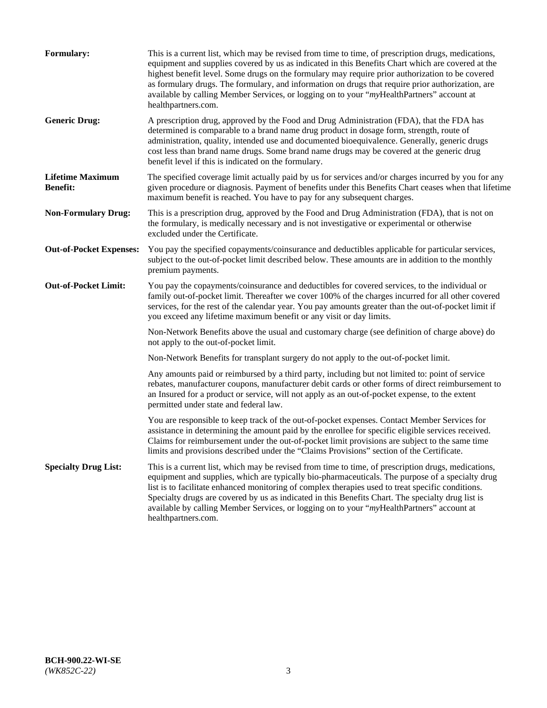| <b>Formulary:</b>                          | This is a current list, which may be revised from time to time, of prescription drugs, medications,<br>equipment and supplies covered by us as indicated in this Benefits Chart which are covered at the<br>highest benefit level. Some drugs on the formulary may require prior authorization to be covered<br>as formulary drugs. The formulary, and information on drugs that require prior authorization, are<br>available by calling Member Services, or logging on to your "myHealthPartners" account at<br>healthpartners.com. |
|--------------------------------------------|---------------------------------------------------------------------------------------------------------------------------------------------------------------------------------------------------------------------------------------------------------------------------------------------------------------------------------------------------------------------------------------------------------------------------------------------------------------------------------------------------------------------------------------|
| <b>Generic Drug:</b>                       | A prescription drug, approved by the Food and Drug Administration (FDA), that the FDA has<br>determined is comparable to a brand name drug product in dosage form, strength, route of<br>administration, quality, intended use and documented bioequivalence. Generally, generic drugs<br>cost less than brand name drugs. Some brand name drugs may be covered at the generic drug<br>benefit level if this is indicated on the formulary.                                                                                           |
| <b>Lifetime Maximum</b><br><b>Benefit:</b> | The specified coverage limit actually paid by us for services and/or charges incurred by you for any<br>given procedure or diagnosis. Payment of benefits under this Benefits Chart ceases when that lifetime<br>maximum benefit is reached. You have to pay for any subsequent charges.                                                                                                                                                                                                                                              |
| <b>Non-Formulary Drug:</b>                 | This is a prescription drug, approved by the Food and Drug Administration (FDA), that is not on<br>the formulary, is medically necessary and is not investigative or experimental or otherwise<br>excluded under the Certificate.                                                                                                                                                                                                                                                                                                     |
| <b>Out-of-Pocket Expenses:</b>             | You pay the specified copayments/coinsurance and deductibles applicable for particular services,<br>subject to the out-of-pocket limit described below. These amounts are in addition to the monthly<br>premium payments.                                                                                                                                                                                                                                                                                                             |
| <b>Out-of-Pocket Limit:</b>                | You pay the copayments/coinsurance and deductibles for covered services, to the individual or<br>family out-of-pocket limit. Thereafter we cover 100% of the charges incurred for all other covered<br>services, for the rest of the calendar year. You pay amounts greater than the out-of-pocket limit if<br>you exceed any lifetime maximum benefit or any visit or day limits.                                                                                                                                                    |
|                                            | Non-Network Benefits above the usual and customary charge (see definition of charge above) do<br>not apply to the out-of-pocket limit.                                                                                                                                                                                                                                                                                                                                                                                                |
|                                            | Non-Network Benefits for transplant surgery do not apply to the out-of-pocket limit.                                                                                                                                                                                                                                                                                                                                                                                                                                                  |
|                                            | Any amounts paid or reimbursed by a third party, including but not limited to: point of service<br>rebates, manufacturer coupons, manufacturer debit cards or other forms of direct reimbursement to<br>an Insured for a product or service, will not apply as an out-of-pocket expense, to the extent<br>permitted under state and federal law.                                                                                                                                                                                      |
|                                            | You are responsible to keep track of the out-of-pocket expenses. Contact Member Services for<br>assistance in determining the amount paid by the enrollee for specific eligible services received.<br>Claims for reimbursement under the out-of-pocket limit provisions are subject to the same time<br>limits and provisions described under the "Claims Provisions" section of the Certificate.                                                                                                                                     |
| <b>Specialty Drug List:</b>                | This is a current list, which may be revised from time to time, of prescription drugs, medications,<br>equipment and supplies, which are typically bio-pharmaceuticals. The purpose of a specialty drug<br>list is to facilitate enhanced monitoring of complex therapies used to treat specific conditions.<br>Specialty drugs are covered by us as indicated in this Benefits Chart. The specialty drug list is<br>available by calling Member Services, or logging on to your "myHealthPartners" account at<br>healthpartners.com. |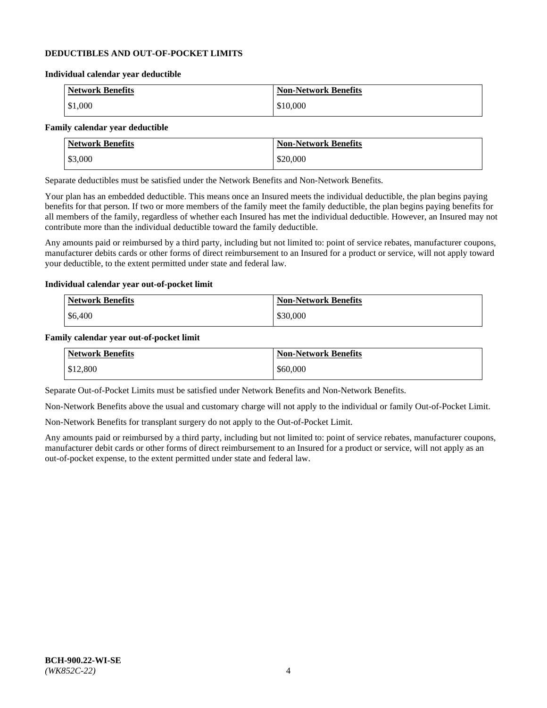### **DEDUCTIBLES AND OUT-OF-POCKET LIMITS**

#### **Individual calendar year deductible**

| <b>Network Benefits</b> | <b>Non-Network Benefits</b> |
|-------------------------|-----------------------------|
| $\vert$ \$1,000         | \$10,000                    |

### **Family calendar year deductible**

| <b>Network Benefits</b> | <b>Non-Network Benefits</b> |
|-------------------------|-----------------------------|
| \$3,000                 | \$20,000                    |

Separate deductibles must be satisfied under the Network Benefits and Non-Network Benefits.

Your plan has an embedded deductible. This means once an Insured meets the individual deductible, the plan begins paying benefits for that person. If two or more members of the family meet the family deductible, the plan begins paying benefits for all members of the family, regardless of whether each Insured has met the individual deductible. However, an Insured may not contribute more than the individual deductible toward the family deductible.

Any amounts paid or reimbursed by a third party, including but not limited to: point of service rebates, manufacturer coupons, manufacturer debits cards or other forms of direct reimbursement to an Insured for a product or service, will not apply toward your deductible, to the extent permitted under state and federal law.

#### **Individual calendar year out-of-pocket limit**

| Network Benefits | <b>Non-Network Benefits</b> |
|------------------|-----------------------------|
| \$6,400          | \$30,000                    |

#### **Family calendar year out-of-pocket limit**

| <b>Network Benefits</b> | <b>Non-Network Benefits</b> |
|-------------------------|-----------------------------|
| \$12,800                | \$60,000                    |

Separate Out-of-Pocket Limits must be satisfied under Network Benefits and Non-Network Benefits.

Non-Network Benefits above the usual and customary charge will not apply to the individual or family Out-of-Pocket Limit.

Non-Network Benefits for transplant surgery do not apply to the Out-of-Pocket Limit.

Any amounts paid or reimbursed by a third party, including but not limited to: point of service rebates, manufacturer coupons, manufacturer debit cards or other forms of direct reimbursement to an Insured for a product or service, will not apply as an out-of-pocket expense, to the extent permitted under state and federal law.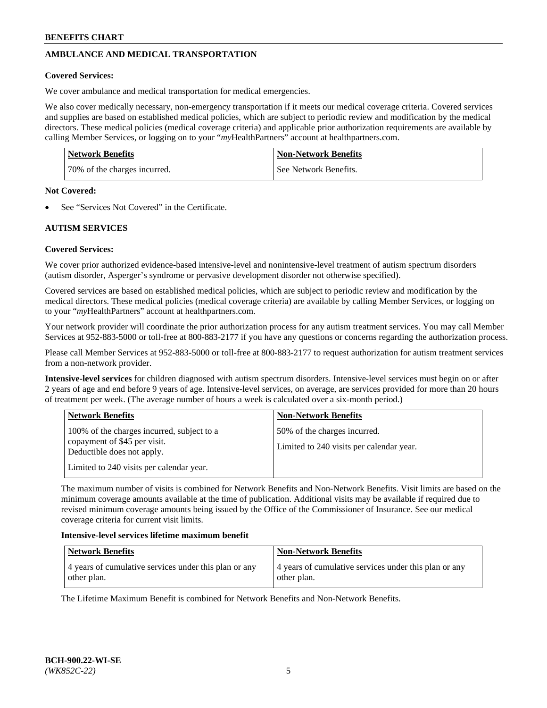# **AMBULANCE AND MEDICAL TRANSPORTATION**

### **Covered Services:**

We cover ambulance and medical transportation for medical emergencies.

We also cover medically necessary, non-emergency transportation if it meets our medical coverage criteria. Covered services and supplies are based on established medical policies, which are subject to periodic review and modification by the medical directors. These medical policies (medical coverage criteria) and applicable prior authorization requirements are available by calling Member Services, or logging on to your "*my*HealthPartners" account a[t healthpartners.com.](https://www.healthpartners.com/hp/index.html)

| <b>Network Benefits</b>      | <b>Non-Network Benefits</b> |
|------------------------------|-----------------------------|
| 70% of the charges incurred. | See Network Benefits.       |

#### **Not Covered:**

See "Services Not Covered" in the Certificate.

## **AUTISM SERVICES**

## **Covered Services:**

We cover prior authorized evidence-based intensive-level and nonintensive-level treatment of autism spectrum disorders (autism disorder, Asperger's syndrome or pervasive development disorder not otherwise specified).

Covered services are based on established medical policies, which are subject to periodic review and modification by the medical directors. These medical policies (medical coverage criteria) are available by calling Member Services, or logging on to your "*my*HealthPartners" account at [healthpartners.com.](https://www.healthpartners.com/hp/index.html)

Your network provider will coordinate the prior authorization process for any autism treatment services. You may call Member Services at 952-883-5000 or toll-free at 800-883-2177 if you have any questions or concerns regarding the authorization process.

Please call Member Services at 952-883-5000 or toll-free at 800-883-2177 to request authorization for autism treatment services from a non-network provider.

**Intensive-level services** for children diagnosed with autism spectrum disorders. Intensive-level services must begin on or after 2 years of age and end before 9 years of age. Intensive-level services, on average, are services provided for more than 20 hours of treatment per week. (The average number of hours a week is calculated over a six-month period.)

| <b>Network Benefits</b>                                                                                                                              | <b>Non-Network Benefits</b>                                              |
|------------------------------------------------------------------------------------------------------------------------------------------------------|--------------------------------------------------------------------------|
| 100% of the charges incurred, subject to a<br>copayment of \$45 per visit.<br>Deductible does not apply.<br>Limited to 240 visits per calendar year. | 50% of the charges incurred.<br>Limited to 240 visits per calendar year. |

The maximum number of visits is combined for Network Benefits and Non-Network Benefits. Visit limits are based on the minimum coverage amounts available at the time of publication. Additional visits may be available if required due to revised minimum coverage amounts being issued by the Office of the Commissioner of Insurance. See our medical coverage criteria for current visit limits.

#### **Intensive-level services lifetime maximum benefit**

| <b>Network Benefits</b>                                              | <b>Non-Network Benefits</b>                                          |
|----------------------------------------------------------------------|----------------------------------------------------------------------|
| 4 years of cumulative services under this plan or any<br>other plan. | 4 years of cumulative services under this plan or any<br>other plan. |

The Lifetime Maximum Benefit is combined for Network Benefits and Non-Network Benefits.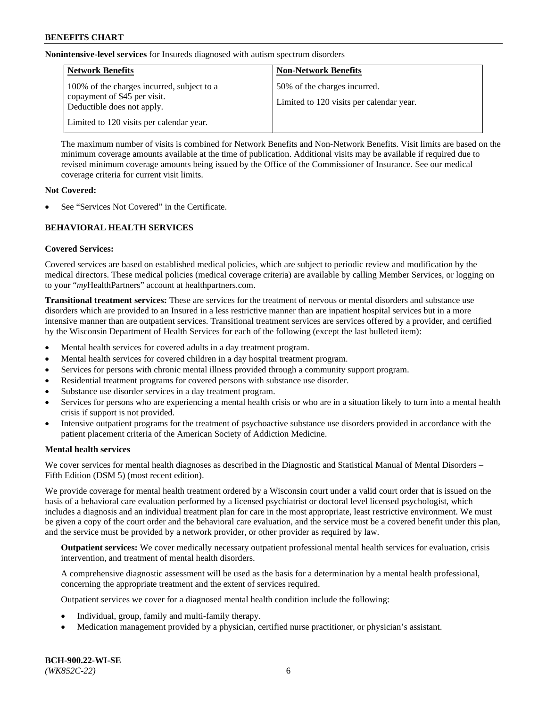**Nonintensive-level services** for Insureds diagnosed with autism spectrum disorders

| <b>Network Benefits</b>                                                                                  | <b>Non-Network Benefits</b>                                              |
|----------------------------------------------------------------------------------------------------------|--------------------------------------------------------------------------|
| 100% of the charges incurred, subject to a<br>copayment of \$45 per visit.<br>Deductible does not apply. | 50% of the charges incurred.<br>Limited to 120 visits per calendar year. |
| Limited to 120 visits per calendar year.                                                                 |                                                                          |

The maximum number of visits is combined for Network Benefits and Non-Network Benefits. Visit limits are based on the minimum coverage amounts available at the time of publication. Additional visits may be available if required due to revised minimum coverage amounts being issued by the Office of the Commissioner of Insurance. See our medical coverage criteria for current visit limits.

### **Not Covered:**

See "Services Not Covered" in the Certificate.

## **BEHAVIORAL HEALTH SERVICES**

## **Covered Services:**

Covered services are based on established medical policies, which are subject to periodic review and modification by the medical directors. These medical policies (medical coverage criteria) are available by calling Member Services, or logging on to your "*my*HealthPartners" account at [healthpartners.com.](https://www.healthpartners.com/hp/index.html)

**Transitional treatment services:** These are services for the treatment of nervous or mental disorders and substance use disorders which are provided to an Insured in a less restrictive manner than are inpatient hospital services but in a more intensive manner than are outpatient services. Transitional treatment services are services offered by a provider, and certified by the Wisconsin Department of Health Services for each of the following (except the last bulleted item):

- Mental health services for covered adults in a day treatment program.
- Mental health services for covered children in a day hospital treatment program.
- Services for persons with chronic mental illness provided through a community support program.
- Residential treatment programs for covered persons with substance use disorder.
- Substance use disorder services in a day treatment program.
- Services for persons who are experiencing a mental health crisis or who are in a situation likely to turn into a mental health crisis if support is not provided.
- Intensive outpatient programs for the treatment of psychoactive substance use disorders provided in accordance with the patient placement criteria of the American Society of Addiction Medicine.

## **Mental health services**

We cover services for mental health diagnoses as described in the Diagnostic and Statistical Manual of Mental Disorders – Fifth Edition (DSM 5) (most recent edition).

We provide coverage for mental health treatment ordered by a Wisconsin court under a valid court order that is issued on the basis of a behavioral care evaluation performed by a licensed psychiatrist or doctoral level licensed psychologist, which includes a diagnosis and an individual treatment plan for care in the most appropriate, least restrictive environment. We must be given a copy of the court order and the behavioral care evaluation, and the service must be a covered benefit under this plan, and the service must be provided by a network provider, or other provider as required by law.

**Outpatient services:** We cover medically necessary outpatient professional mental health services for evaluation, crisis intervention, and treatment of mental health disorders.

A comprehensive diagnostic assessment will be used as the basis for a determination by a mental health professional, concerning the appropriate treatment and the extent of services required.

Outpatient services we cover for a diagnosed mental health condition include the following:

- Individual, group, family and multi-family therapy.
- Medication management provided by a physician, certified nurse practitioner, or physician's assistant.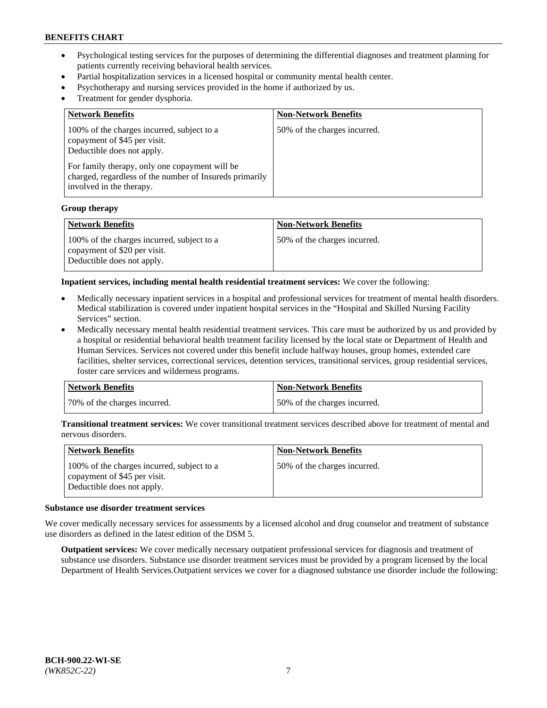- Psychological testing services for the purposes of determining the differential diagnoses and treatment planning for patients currently receiving behavioral health services.
- Partial hospitalization services in a licensed hospital or community mental health center.
- Psychotherapy and nursing services provided in the home if authorized by us.
- Treatment for gender dysphoria.

| <b>Network Benefits</b>                                                                                                                                                                                                                           | <b>Non-Network Benefits</b>  |
|---------------------------------------------------------------------------------------------------------------------------------------------------------------------------------------------------------------------------------------------------|------------------------------|
| 100% of the charges incurred, subject to a<br>copayment of \$45 per visit.<br>Deductible does not apply.<br>For family therapy, only one copayment will be<br>charged, regardless of the number of Insureds primarily<br>involved in the therapy. | 50% of the charges incurred. |

#### **Group therapy**

| Network Benefits                                                                                         | <b>Non-Network Benefits</b>  |
|----------------------------------------------------------------------------------------------------------|------------------------------|
| 100% of the charges incurred, subject to a<br>copayment of \$20 per visit.<br>Deductible does not apply. | 50% of the charges incurred. |

**Inpatient services, including mental health residential treatment services:** We cover the following:

- Medically necessary inpatient services in a hospital and professional services for treatment of mental health disorders. Medical stabilization is covered under inpatient hospital services in the "Hospital and Skilled Nursing Facility Services" section.
- Medically necessary mental health residential treatment services. This care must be authorized by us and provided by a hospital or residential behavioral health treatment facility licensed by the local state or Department of Health and Human Services. Services not covered under this benefit include halfway houses, group homes, extended care facilities, shelter services, correctional services, detention services, transitional services, group residential services, foster care services and wilderness programs.

| Network Benefits             | <b>Non-Network Benefits</b>  |
|------------------------------|------------------------------|
| 70% of the charges incurred. | 50% of the charges incurred. |

**Transitional treatment services:** We cover transitional treatment services described above for treatment of mental and nervous disorders.

| <b>Network Benefits</b>                                                                                  | <b>Non-Network Benefits</b>  |
|----------------------------------------------------------------------------------------------------------|------------------------------|
| 100% of the charges incurred, subject to a<br>copayment of \$45 per visit.<br>Deductible does not apply. | 50% of the charges incurred. |

#### **Substance use disorder treatment services**

We cover medically necessary services for assessments by a licensed alcohol and drug counselor and treatment of substance use disorders as defined in the latest edition of the DSM 5.

**Outpatient services:** We cover medically necessary outpatient professional services for diagnosis and treatment of substance use disorders. Substance use disorder treatment services must be provided by a program licensed by the local Department of Health Services.Outpatient services we cover for a diagnosed substance use disorder include the following: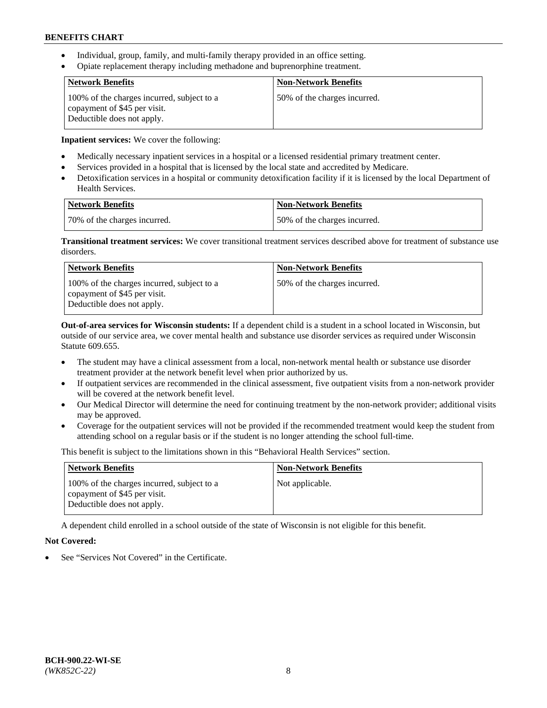- Individual, group, family, and multi-family therapy provided in an office setting.
- Opiate replacement therapy including methadone and buprenorphine treatment.

| <b>Network Benefits</b>                                                                                  | <b>Non-Network Benefits</b>  |
|----------------------------------------------------------------------------------------------------------|------------------------------|
| 100% of the charges incurred, subject to a<br>copayment of \$45 per visit.<br>Deductible does not apply. | 50% of the charges incurred. |

**Inpatient services:** We cover the following:

- Medically necessary inpatient services in a hospital or a licensed residential primary treatment center.
- Services provided in a hospital that is licensed by the local state and accredited by Medicare.
- Detoxification services in a hospital or community detoxification facility if it is licensed by the local Department of Health Services.

| Network Benefits             | Non-Network Benefits         |
|------------------------------|------------------------------|
| 70% of the charges incurred. | 50% of the charges incurred. |

**Transitional treatment services:** We cover transitional treatment services described above for treatment of substance use disorders.

| <b>Network Benefits</b>                                                                                  | <b>Non-Network Benefits</b>  |
|----------------------------------------------------------------------------------------------------------|------------------------------|
| 100% of the charges incurred, subject to a<br>copayment of \$45 per visit.<br>Deductible does not apply. | 50% of the charges incurred. |

**Out-of-area services for Wisconsin students:** If a dependent child is a student in a school located in Wisconsin, but outside of our service area, we cover mental health and substance use disorder services as required under Wisconsin Statute 609.655.

- The student may have a clinical assessment from a local, non-network mental health or substance use disorder treatment provider at the network benefit level when prior authorized by us.
- If outpatient services are recommended in the clinical assessment, five outpatient visits from a non-network provider will be covered at the network benefit level.
- Our Medical Director will determine the need for continuing treatment by the non-network provider; additional visits may be approved.
- Coverage for the outpatient services will not be provided if the recommended treatment would keep the student from attending school on a regular basis or if the student is no longer attending the school full-time.

This benefit is subject to the limitations shown in this "Behavioral Health Services" section.

| <b>Network Benefits</b>                                                                                  | <b>Non-Network Benefits</b> |
|----------------------------------------------------------------------------------------------------------|-----------------------------|
| 100% of the charges incurred, subject to a<br>copayment of \$45 per visit.<br>Deductible does not apply. | Not applicable.             |

A dependent child enrolled in a school outside of the state of Wisconsin is not eligible for this benefit.

## **Not Covered:**

See "Services Not Covered" in the Certificate.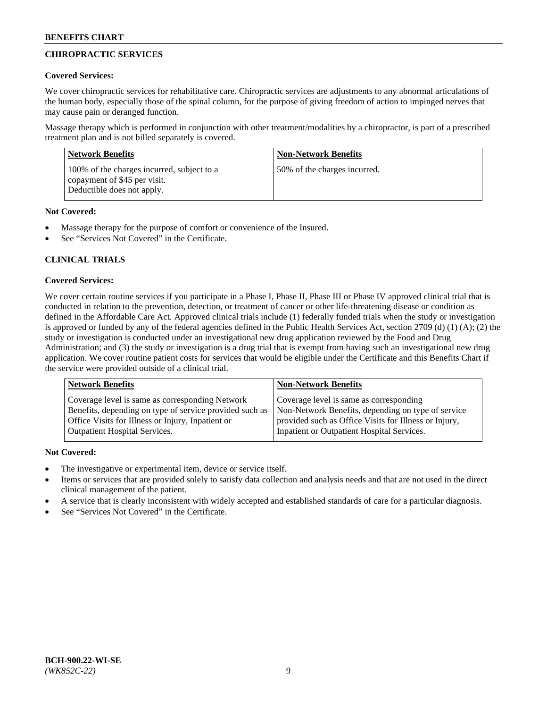# **CHIROPRACTIC SERVICES**

## **Covered Services:**

We cover chiropractic services for rehabilitative care. Chiropractic services are adjustments to any abnormal articulations of the human body, especially those of the spinal column, for the purpose of giving freedom of action to impinged nerves that may cause pain or deranged function.

Massage therapy which is performed in conjunction with other treatment/modalities by a chiropractor, is part of a prescribed treatment plan and is not billed separately is covered.

| <b>Network Benefits</b>                                                                                  | <b>Non-Network Benefits</b>  |
|----------------------------------------------------------------------------------------------------------|------------------------------|
| 100% of the charges incurred, subject to a<br>copayment of \$45 per visit.<br>Deductible does not apply. | 50% of the charges incurred. |

## **Not Covered:**

- Massage therapy for the purpose of comfort or convenience of the Insured.
- See "Services Not Covered" in the Certificate.

# **CLINICAL TRIALS**

## **Covered Services:**

We cover certain routine services if you participate in a Phase I, Phase II, Phase III or Phase IV approved clinical trial that is conducted in relation to the prevention, detection, or treatment of cancer or other life-threatening disease or condition as defined in the Affordable Care Act. Approved clinical trials include (1) federally funded trials when the study or investigation is approved or funded by any of the federal agencies defined in the Public Health Services Act, section 2709 (d) (1) (A); (2) the study or investigation is conducted under an investigational new drug application reviewed by the Food and Drug Administration; and (3) the study or investigation is a drug trial that is exempt from having such an investigational new drug application. We cover routine patient costs for services that would be eligible under the Certificate and this Benefits Chart if the service were provided outside of a clinical trial.

| Coverage level is same as corresponding Network                                                                                                                                                    | <b>Non-Network Benefits</b>                                                                                                                            |  |
|----------------------------------------------------------------------------------------------------------------------------------------------------------------------------------------------------|--------------------------------------------------------------------------------------------------------------------------------------------------------|--|
| Benefits, depending on type of service provided such as<br>Office Visits for Illness or Injury, Inpatient or<br>Inpatient or Outpatient Hospital Services.<br><b>Outpatient Hospital Services.</b> | Coverage level is same as corresponding<br>Non-Network Benefits, depending on type of service<br>provided such as Office Visits for Illness or Injury, |  |

## **Not Covered:**

- The investigative or experimental item, device or service itself.
- Items or services that are provided solely to satisfy data collection and analysis needs and that are not used in the direct clinical management of the patient.
- A service that is clearly inconsistent with widely accepted and established standards of care for a particular diagnosis.
- See "Services Not Covered" in the Certificate.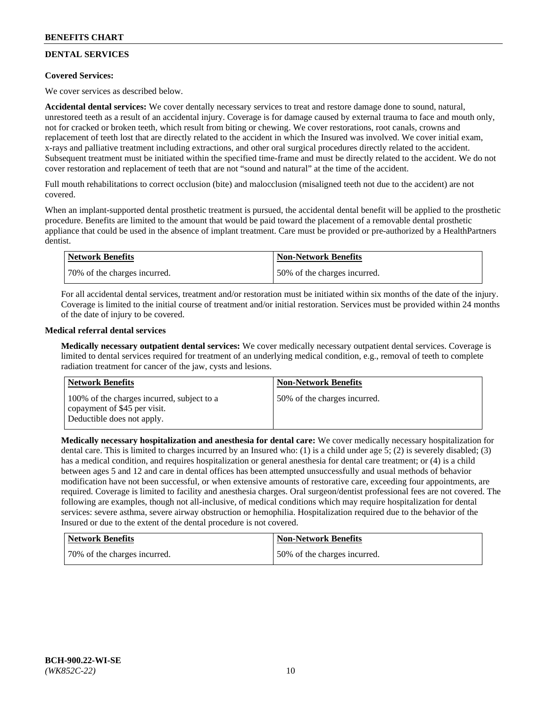# **DENTAL SERVICES**

## **Covered Services:**

We cover services as described below.

**Accidental dental services:** We cover dentally necessary services to treat and restore damage done to sound, natural, unrestored teeth as a result of an accidental injury. Coverage is for damage caused by external trauma to face and mouth only, not for cracked or broken teeth, which result from biting or chewing. We cover restorations, root canals, crowns and replacement of teeth lost that are directly related to the accident in which the Insured was involved. We cover initial exam, x-rays and palliative treatment including extractions, and other oral surgical procedures directly related to the accident. Subsequent treatment must be initiated within the specified time-frame and must be directly related to the accident. We do not cover restoration and replacement of teeth that are not "sound and natural" at the time of the accident.

Full mouth rehabilitations to correct occlusion (bite) and malocclusion (misaligned teeth not due to the accident) are not covered.

When an implant-supported dental prosthetic treatment is pursued, the accidental dental benefit will be applied to the prosthetic procedure. Benefits are limited to the amount that would be paid toward the placement of a removable dental prosthetic appliance that could be used in the absence of implant treatment. Care must be provided or pre-authorized by a HealthPartners dentist.

| Network Benefits             | <b>Non-Network Benefits</b>  |
|------------------------------|------------------------------|
| 70% of the charges incurred. | 50% of the charges incurred. |

For all accidental dental services, treatment and/or restoration must be initiated within six months of the date of the injury. Coverage is limited to the initial course of treatment and/or initial restoration. Services must be provided within 24 months of the date of injury to be covered.

## **Medical referral dental services**

**Medically necessary outpatient dental services:** We cover medically necessary outpatient dental services. Coverage is limited to dental services required for treatment of an underlying medical condition, e.g., removal of teeth to complete radiation treatment for cancer of the jaw, cysts and lesions.

| <b>Network Benefits</b>                                                                                  | <b>Non-Network Benefits</b>  |
|----------------------------------------------------------------------------------------------------------|------------------------------|
| 100% of the charges incurred, subject to a<br>copayment of \$45 per visit.<br>Deductible does not apply. | 50% of the charges incurred. |

**Medically necessary hospitalization and anesthesia for dental care:** We cover medically necessary hospitalization for dental care. This is limited to charges incurred by an Insured who: (1) is a child under age 5; (2) is severely disabled; (3) has a medical condition, and requires hospitalization or general anesthesia for dental care treatment; or (4) is a child between ages 5 and 12 and care in dental offices has been attempted unsuccessfully and usual methods of behavior modification have not been successful, or when extensive amounts of restorative care, exceeding four appointments, are required. Coverage is limited to facility and anesthesia charges. Oral surgeon/dentist professional fees are not covered. The following are examples, though not all-inclusive, of medical conditions which may require hospitalization for dental services: severe asthma, severe airway obstruction or hemophilia. Hospitalization required due to the behavior of the Insured or due to the extent of the dental procedure is not covered.

| <b>Network Benefits</b>      | Non-Network Benefits         |
|------------------------------|------------------------------|
| 70% of the charges incurred. | 50% of the charges incurred. |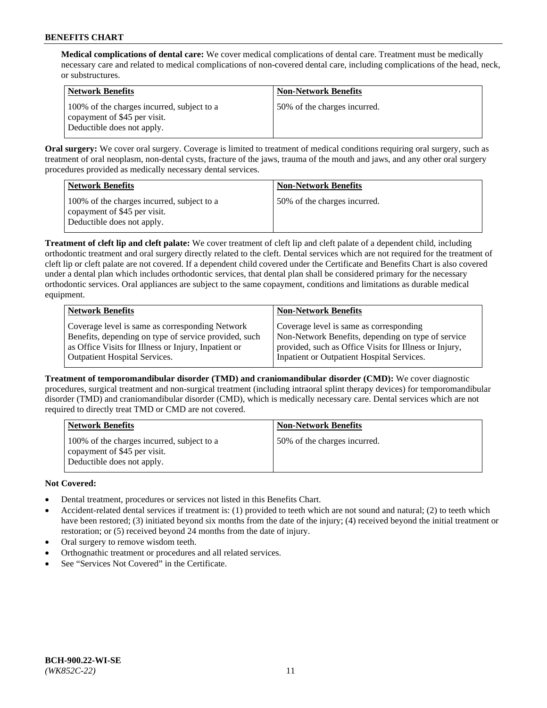**Medical complications of dental care:** We cover medical complications of dental care. Treatment must be medically necessary care and related to medical complications of non-covered dental care, including complications of the head, neck, or substructures.

| Network Benefits                                                                                         | <b>Non-Network Benefits</b>  |
|----------------------------------------------------------------------------------------------------------|------------------------------|
| 100% of the charges incurred, subject to a<br>copayment of \$45 per visit.<br>Deductible does not apply. | 50% of the charges incurred. |

**Oral surgery:** We cover oral surgery. Coverage is limited to treatment of medical conditions requiring oral surgery, such as treatment of oral neoplasm, non-dental cysts, fracture of the jaws, trauma of the mouth and jaws, and any other oral surgery procedures provided as medically necessary dental services.

| <b>Network Benefits</b>                                                                                  | <b>Non-Network Benefits</b>  |
|----------------------------------------------------------------------------------------------------------|------------------------------|
| 100% of the charges incurred, subject to a<br>copayment of \$45 per visit.<br>Deductible does not apply. | 50% of the charges incurred. |

**Treatment of cleft lip and cleft palate:** We cover treatment of cleft lip and cleft palate of a dependent child, including orthodontic treatment and oral surgery directly related to the cleft. Dental services which are not required for the treatment of cleft lip or cleft palate are not covered. If a dependent child covered under the Certificate and Benefits Chart is also covered under a dental plan which includes orthodontic services, that dental plan shall be considered primary for the necessary orthodontic services. Oral appliances are subject to the same copayment, conditions and limitations as durable medical equipment.

| <b>Network Benefits</b>                               | <b>Non-Network Benefits</b>                            |
|-------------------------------------------------------|--------------------------------------------------------|
| Coverage level is same as corresponding Network       | Coverage level is same as corresponding                |
| Benefits, depending on type of service provided, such | Non-Network Benefits, depending on type of service     |
| as Office Visits for Illness or Injury, Inpatient or  | provided, such as Office Visits for Illness or Injury, |
| <b>Outpatient Hospital Services.</b>                  | Inpatient or Outpatient Hospital Services.             |

**Treatment of temporomandibular disorder (TMD) and craniomandibular disorder (CMD):** We cover diagnostic procedures, surgical treatment and non-surgical treatment (including intraoral splint therapy devices) for temporomandibular disorder (TMD) and craniomandibular disorder (CMD), which is medically necessary care. Dental services which are not required to directly treat TMD or CMD are not covered.

| <b>Network Benefits</b>                                                                                  | <b>Non-Network Benefits</b>  |
|----------------------------------------------------------------------------------------------------------|------------------------------|
| 100% of the charges incurred, subject to a<br>copayment of \$45 per visit.<br>Deductible does not apply. | 50% of the charges incurred. |

## **Not Covered:**

- Dental treatment, procedures or services not listed in this Benefits Chart.
- Accident-related dental services if treatment is: (1) provided to teeth which are not sound and natural; (2) to teeth which have been restored; (3) initiated beyond six months from the date of the injury; (4) received beyond the initial treatment or restoration; or (5) received beyond 24 months from the date of injury.
- Oral surgery to remove wisdom teeth.
- Orthognathic treatment or procedures and all related services.
- See "Services Not Covered" in the Certificate.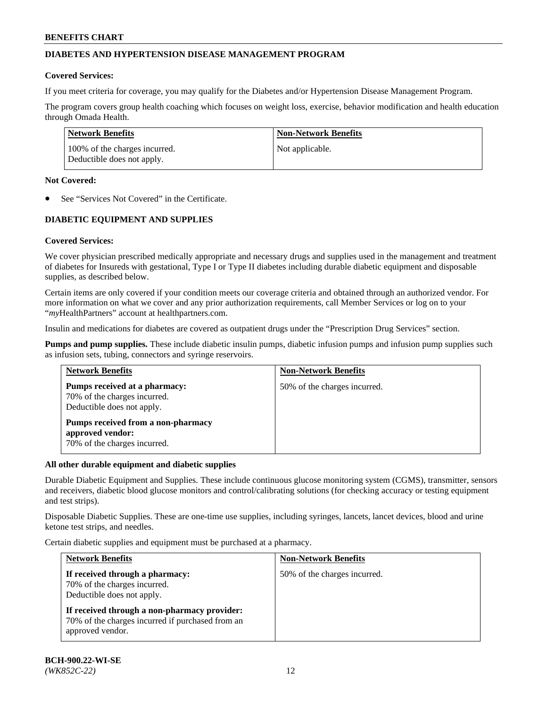## **DIABETES AND HYPERTENSION DISEASE MANAGEMENT PROGRAM**

### **Covered Services:**

If you meet criteria for coverage, you may qualify for the Diabetes and/or Hypertension Disease Management Program.

The program covers group health coaching which focuses on weight loss, exercise, behavior modification and health education through Omada Health.

| <b>Network Benefits</b>                                     | <b>Non-Network Benefits</b> |
|-------------------------------------------------------------|-----------------------------|
| 100% of the charges incurred.<br>Deductible does not apply. | Not applicable.             |

### **Not Covered:**

See "Services Not Covered" in the Certificate.

## **DIABETIC EQUIPMENT AND SUPPLIES**

## **Covered Services:**

We cover physician prescribed medically appropriate and necessary drugs and supplies used in the management and treatment of diabetes for Insureds with gestational, Type I or Type II diabetes including durable diabetic equipment and disposable supplies, as described below.

Certain items are only covered if your condition meets our coverage criteria and obtained through an authorized vendor. For more information on what we cover and any prior authorization requirements, call Member Services or log on to your "*my*HealthPartners" account at [healthpartners.com.](http://www.healthpartners.com/)

Insulin and medications for diabetes are covered as outpatient drugs under the "Prescription Drug Services" section.

**Pumps and pump supplies.** These include diabetic insulin pumps, diabetic infusion pumps and infusion pump supplies such as infusion sets, tubing, connectors and syringe reservoirs.

| <b>Network Benefits</b>                                                                     | <b>Non-Network Benefits</b>  |
|---------------------------------------------------------------------------------------------|------------------------------|
| Pumps received at a pharmacy:<br>70% of the charges incurred.<br>Deductible does not apply. | 50% of the charges incurred. |
| Pumps received from a non-pharmacy<br>approved vendor:<br>70% of the charges incurred.      |                              |

#### **All other durable equipment and diabetic supplies**

Durable Diabetic Equipment and Supplies. These include continuous glucose monitoring system (CGMS), transmitter, sensors and receivers, diabetic blood glucose monitors and control/calibrating solutions (for checking accuracy or testing equipment and test strips).

Disposable Diabetic Supplies. These are one-time use supplies, including syringes, lancets, lancet devices, blood and urine ketone test strips, and needles.

Certain diabetic supplies and equipment must be purchased at a pharmacy.

| <b>Network Benefits</b>                                                                                              | <b>Non-Network Benefits</b>  |  |
|----------------------------------------------------------------------------------------------------------------------|------------------------------|--|
| If received through a pharmacy:<br>70% of the charges incurred.<br>Deductible does not apply.                        | 50% of the charges incurred. |  |
| If received through a non-pharmacy provider:<br>70% of the charges incurred if purchased from an<br>approved vendor. |                              |  |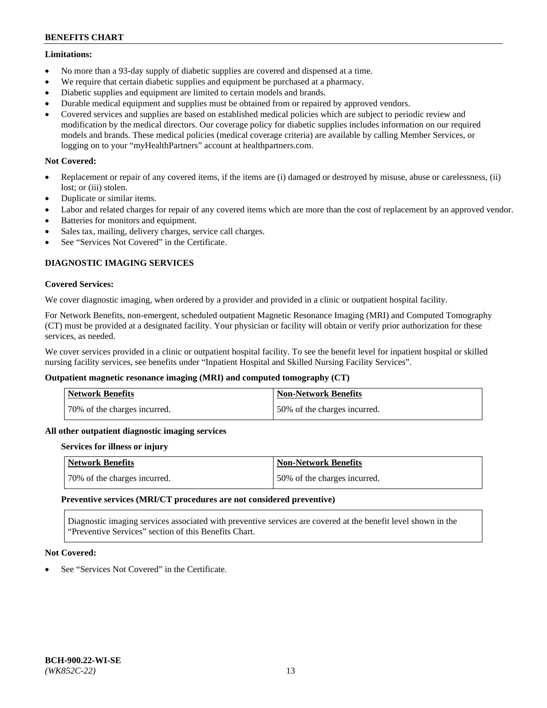### **Limitations:**

- No more than a 93-day supply of diabetic supplies are covered and dispensed at a time.
- We require that certain diabetic supplies and equipment be purchased at a pharmacy.
- Diabetic supplies and equipment are limited to certain models and brands.
- Durable medical equipment and supplies must be obtained from or repaired by approved vendors.
- Covered services and supplies are based on established medical policies which are subject to periodic review and modification by the medical directors. Our coverage policy for diabetic supplies includes information on our required models and brands. These medical policies (medical coverage criteria) are available by calling Member Services, or logging on to your "myHealthPartners" account at [healthpartners.com.](http://www.healthpartners.com/)

## **Not Covered:**

- Replacement or repair of any covered items, if the items are (i) damaged or destroyed by misuse, abuse or carelessness, (ii) lost; or (iii) stolen.
- Duplicate or similar items.
- Labor and related charges for repair of any covered items which are more than the cost of replacement by an approved vendor.
- Batteries for monitors and equipment.
- Sales tax, mailing, delivery charges, service call charges.
- See "Services Not Covered" in the Certificate.

## **DIAGNOSTIC IMAGING SERVICES**

### **Covered Services:**

We cover diagnostic imaging, when ordered by a provider and provided in a clinic or outpatient hospital facility.

For Network Benefits, non-emergent, scheduled outpatient Magnetic Resonance Imaging (MRI) and Computed Tomography (CT) must be provided at a designated facility. Your physician or facility will obtain or verify prior authorization for these services, as needed.

We cover services provided in a clinic or outpatient hospital facility. To see the benefit level for inpatient hospital or skilled nursing facility services, see benefits under "Inpatient Hospital and Skilled Nursing Facility Services".

## **Outpatient magnetic resonance imaging (MRI) and computed tomography (CT)**

| <b>Network Benefits</b>      | <b>Non-Network Benefits</b>  |
|------------------------------|------------------------------|
| 70% of the charges incurred. | 50% of the charges incurred. |

#### **All other outpatient diagnostic imaging services**

#### **Services for illness or injury**

| <b>Network Benefits</b>      | Non-Network Benefits         |
|------------------------------|------------------------------|
| 70% of the charges incurred. | 50% of the charges incurred. |

#### **Preventive services (MRI/CT procedures are not considered preventive)**

Diagnostic imaging services associated with preventive services are covered at the benefit level shown in the "Preventive Services" section of this Benefits Chart.

## **Not Covered:**

See "Services Not Covered" in the Certificate.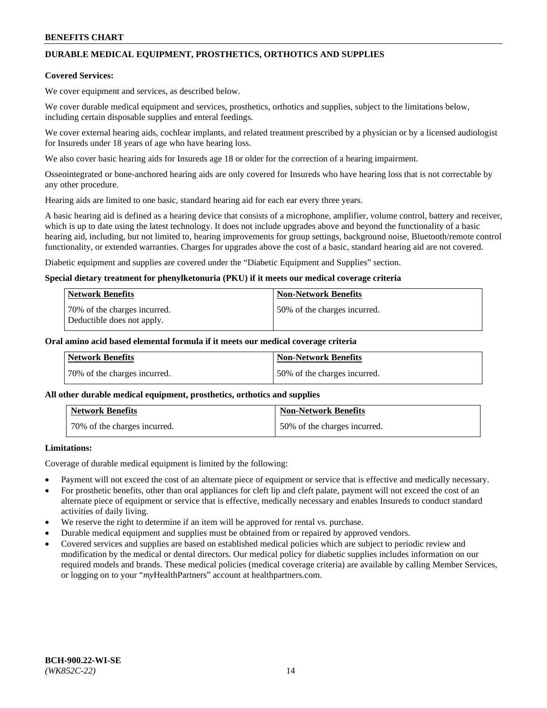# **DURABLE MEDICAL EQUIPMENT, PROSTHETICS, ORTHOTICS AND SUPPLIES**

### **Covered Services:**

We cover equipment and services, as described below.

We cover durable medical equipment and services, prosthetics, orthotics and supplies, subject to the limitations below, including certain disposable supplies and enteral feedings.

We cover external hearing aids, cochlear implants, and related treatment prescribed by a physician or by a licensed audiologist for Insureds under 18 years of age who have hearing loss.

We also cover basic hearing aids for Insureds age 18 or older for the correction of a hearing impairment.

Osseointegrated or bone-anchored hearing aids are only covered for Insureds who have hearing loss that is not correctable by any other procedure.

Hearing aids are limited to one basic, standard hearing aid for each ear every three years.

A basic hearing aid is defined as a hearing device that consists of a microphone, amplifier, volume control, battery and receiver, which is up to date using the latest technology. It does not include upgrades above and beyond the functionality of a basic hearing aid, including, but not limited to, hearing improvements for group settings, background noise, Bluetooth/remote control functionality, or extended warranties. Charges for upgrades above the cost of a basic, standard hearing aid are not covered.

Diabetic equipment and supplies are covered under the "Diabetic Equipment and Supplies" section.

### **Special dietary treatment for phenylketonuria (PKU) if it meets our medical coverage criteria**

| <b>Network Benefits</b>                                    | <b>Non-Network Benefits</b>  |
|------------------------------------------------------------|------------------------------|
| 70% of the charges incurred.<br>Deductible does not apply. | 50% of the charges incurred. |

### **Oral amino acid based elemental formula if it meets our medical coverage criteria**

| Network Benefits             | <b>Non-Network Benefits</b>  |
|------------------------------|------------------------------|
| 70% of the charges incurred. | 50% of the charges incurred. |

#### **All other durable medical equipment, prosthetics, orthotics and supplies**

| <b>Network Benefits</b>      | <b>Non-Network Benefits</b>  |
|------------------------------|------------------------------|
| 70% of the charges incurred. | 50% of the charges incurred. |

## **Limitations:**

Coverage of durable medical equipment is limited by the following:

- Payment will not exceed the cost of an alternate piece of equipment or service that is effective and medically necessary.
- For prosthetic benefits, other than oral appliances for cleft lip and cleft palate, payment will not exceed the cost of an alternate piece of equipment or service that is effective, medically necessary and enables Insureds to conduct standard activities of daily living.
- We reserve the right to determine if an item will be approved for rental vs. purchase.
- Durable medical equipment and supplies must be obtained from or repaired by approved vendors.
- Covered services and supplies are based on established medical policies which are subject to periodic review and modification by the medical or dental directors. Our medical policy for diabetic supplies includes information on our required models and brands. These medical policies (medical coverage criteria) are available by calling Member Services, or logging on to your "*my*HealthPartners" account a[t healthpartners.com.](http://www.healthpartners.com/)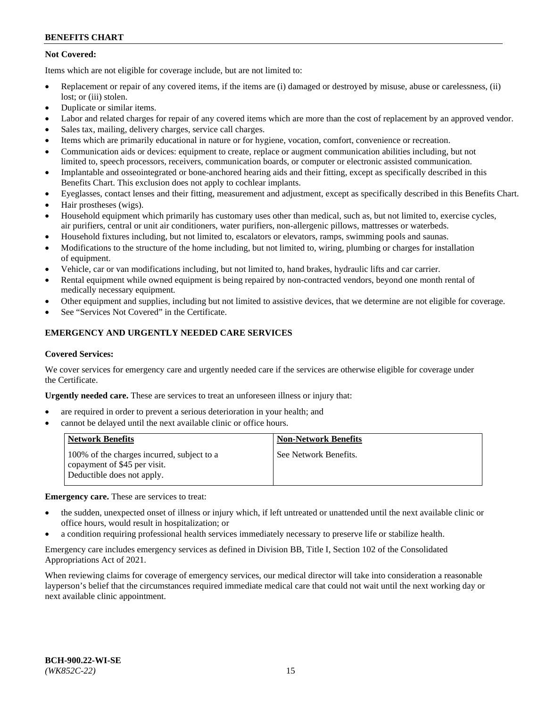## **Not Covered:**

Items which are not eligible for coverage include, but are not limited to:

- Replacement or repair of any covered items, if the items are (i) damaged or destroyed by misuse, abuse or carelessness, (ii) lost; or (iii) stolen.
- Duplicate or similar items.
- Labor and related charges for repair of any covered items which are more than the cost of replacement by an approved vendor.
- Sales tax, mailing, delivery charges, service call charges.
- Items which are primarily educational in nature or for hygiene, vocation, comfort, convenience or recreation.
- Communication aids or devices: equipment to create, replace or augment communication abilities including, but not limited to, speech processors, receivers, communication boards, or computer or electronic assisted communication.
- Implantable and osseointegrated or bone-anchored hearing aids and their fitting, except as specifically described in this Benefits Chart. This exclusion does not apply to cochlear implants.
- Eyeglasses, contact lenses and their fitting, measurement and adjustment, except as specifically described in this Benefits Chart.
- Hair prostheses (wigs).
- Household equipment which primarily has customary uses other than medical, such as, but not limited to, exercise cycles, air purifiers, central or unit air conditioners, water purifiers, non-allergenic pillows, mattresses or waterbeds.
- Household fixtures including, but not limited to, escalators or elevators, ramps, swimming pools and saunas.
- Modifications to the structure of the home including, but not limited to, wiring, plumbing or charges for installation of equipment.
- Vehicle, car or van modifications including, but not limited to, hand brakes, hydraulic lifts and car carrier.
- Rental equipment while owned equipment is being repaired by non-contracted vendors, beyond one month rental of medically necessary equipment.
- Other equipment and supplies, including but not limited to assistive devices, that we determine are not eligible for coverage.
- See "Services Not Covered" in the Certificate.

## **EMERGENCY AND URGENTLY NEEDED CARE SERVICES**

#### **Covered Services:**

We cover services for emergency care and urgently needed care if the services are otherwise eligible for coverage under the Certificate.

**Urgently needed care.** These are services to treat an unforeseen illness or injury that:

- are required in order to prevent a serious deterioration in your health; and
- cannot be delayed until the next available clinic or office hours.

| <b>Network Benefits</b>                                                                                  | <b>Non-Network Benefits</b> |
|----------------------------------------------------------------------------------------------------------|-----------------------------|
| 100% of the charges incurred, subject to a<br>copayment of \$45 per visit.<br>Deductible does not apply. | See Network Benefits.       |

**Emergency care.** These are services to treat:

- the sudden, unexpected onset of illness or injury which, if left untreated or unattended until the next available clinic or office hours, would result in hospitalization; or
- a condition requiring professional health services immediately necessary to preserve life or stabilize health.

Emergency care includes emergency services as defined in Division BB, Title I, Section 102 of the Consolidated Appropriations Act of 2021.

When reviewing claims for coverage of emergency services, our medical director will take into consideration a reasonable layperson's belief that the circumstances required immediate medical care that could not wait until the next working day or next available clinic appointment.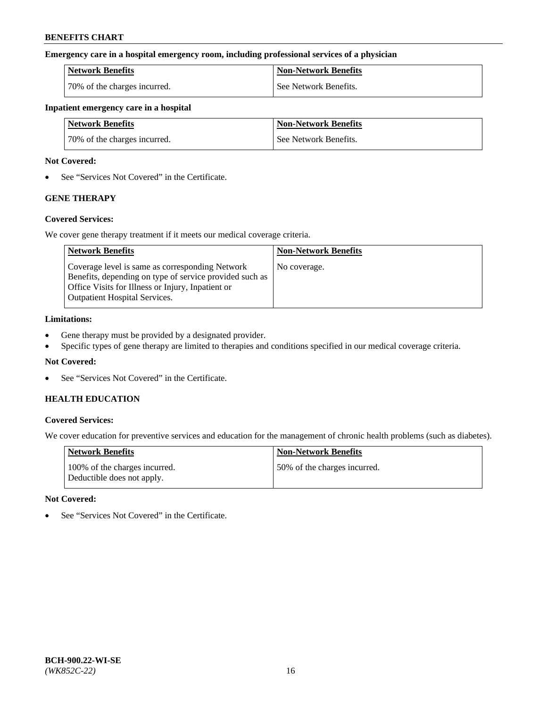### **Emergency care in a hospital emergency room, including professional services of a physician**

| <b>Network Benefits</b>      | <b>Non-Network Benefits</b> |
|------------------------------|-----------------------------|
| 70% of the charges incurred. | See Network Benefits.       |

### **Inpatient emergency care in a hospital**

| <b>Network Benefits</b>      | <b>Non-Network Benefits</b> |
|------------------------------|-----------------------------|
| 70% of the charges incurred. | See Network Benefits.       |

### **Not Covered:**

• See "Services Not Covered" in the Certificate.

## **GENE THERAPY**

## **Covered Services:**

We cover gene therapy treatment if it meets our medical coverage criteria.

| <b>Network Benefits</b>                                                                                                                                                                                 | <b>Non-Network Benefits</b> |
|---------------------------------------------------------------------------------------------------------------------------------------------------------------------------------------------------------|-----------------------------|
| Coverage level is same as corresponding Network<br>Benefits, depending on type of service provided such as<br>Office Visits for Illness or Injury, Inpatient or<br><b>Outpatient Hospital Services.</b> | No coverage.                |

### **Limitations:**

- Gene therapy must be provided by a designated provider.
- Specific types of gene therapy are limited to therapies and conditions specified in our medical coverage criteria.

## **Not Covered:**

• See "Services Not Covered" in the Certificate.

## **HEALTH EDUCATION**

## **Covered Services:**

We cover education for preventive services and education for the management of chronic health problems (such as diabetes).

| <b>Network Benefits</b>                                     | <b>Non-Network Benefits</b>  |
|-------------------------------------------------------------|------------------------------|
| 100% of the charges incurred.<br>Deductible does not apply. | 50% of the charges incurred. |

#### **Not Covered:**

• See "Services Not Covered" in the Certificate.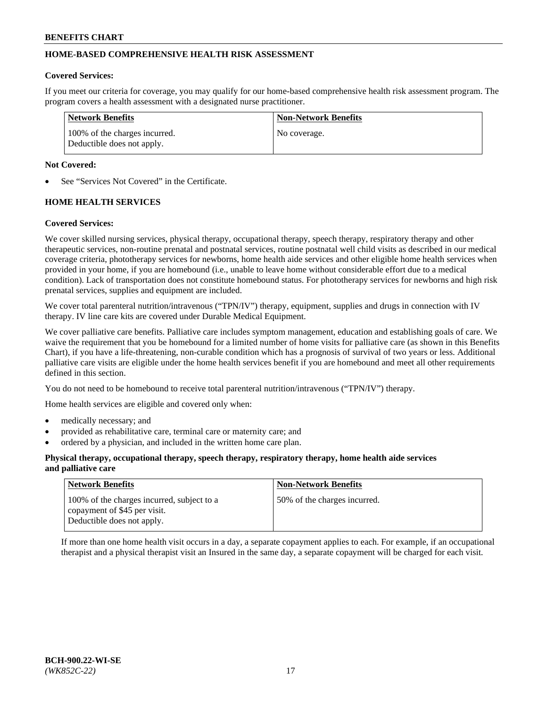## **HOME-BASED COMPREHENSIVE HEALTH RISK ASSESSMENT**

### **Covered Services:**

If you meet our criteria for coverage, you may qualify for our home-based comprehensive health risk assessment program. The program covers a health assessment with a designated nurse practitioner.

| Network Benefits                                            | <b>Non-Network Benefits</b> |
|-------------------------------------------------------------|-----------------------------|
| 100% of the charges incurred.<br>Deductible does not apply. | No coverage.                |

### **Not Covered:**

See "Services Not Covered" in the Certificate.

## **HOME HEALTH SERVICES**

### **Covered Services:**

We cover skilled nursing services, physical therapy, occupational therapy, speech therapy, respiratory therapy and other therapeutic services, non-routine prenatal and postnatal services, routine postnatal well child visits as described in our medical coverage criteria, phototherapy services for newborns, home health aide services and other eligible home health services when provided in your home, if you are homebound (i.e., unable to leave home without considerable effort due to a medical condition). Lack of transportation does not constitute homebound status. For phototherapy services for newborns and high risk prenatal services, supplies and equipment are included.

We cover total parenteral nutrition/intravenous ("TPN/IV") therapy, equipment, supplies and drugs in connection with IV therapy. IV line care kits are covered under Durable Medical Equipment.

We cover palliative care benefits. Palliative care includes symptom management, education and establishing goals of care. We waive the requirement that you be homebound for a limited number of home visits for palliative care (as shown in this Benefits Chart), if you have a life-threatening, non-curable condition which has a prognosis of survival of two years or less. Additional palliative care visits are eligible under the home health services benefit if you are homebound and meet all other requirements defined in this section.

You do not need to be homebound to receive total parenteral nutrition/intravenous ("TPN/IV") therapy.

Home health services are eligible and covered only when:

- medically necessary; and
- provided as rehabilitative care, terminal care or maternity care; and
- ordered by a physician, and included in the written home care plan.

### **Physical therapy, occupational therapy, speech therapy, respiratory therapy, home health aide services and palliative care**

| <b>Network Benefits</b>                                                                                  | <b>Non-Network Benefits</b>  |
|----------------------------------------------------------------------------------------------------------|------------------------------|
| 100% of the charges incurred, subject to a<br>copayment of \$45 per visit.<br>Deductible does not apply. | 50% of the charges incurred. |

If more than one home health visit occurs in a day, a separate copayment applies to each. For example, if an occupational therapist and a physical therapist visit an Insured in the same day, a separate copayment will be charged for each visit.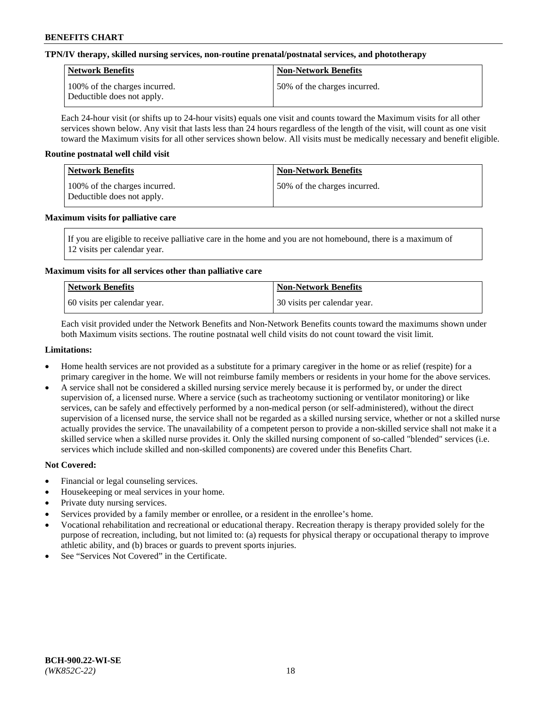## **TPN/IV therapy, skilled nursing services, non-routine prenatal/postnatal services, and phototherapy**

| <b>Network Benefits</b>                                     | <b>Non-Network Benefits</b>  |
|-------------------------------------------------------------|------------------------------|
| 100% of the charges incurred.<br>Deductible does not apply. | 50% of the charges incurred. |

Each 24-hour visit (or shifts up to 24-hour visits) equals one visit and counts toward the Maximum visits for all other services shown below. Any visit that lasts less than 24 hours regardless of the length of the visit, will count as one visit toward the Maximum visits for all other services shown below. All visits must be medically necessary and benefit eligible.

### **Routine postnatal well child visit**

| Network Benefits                                            | <b>Non-Network Benefits</b>  |
|-------------------------------------------------------------|------------------------------|
| 100% of the charges incurred.<br>Deductible does not apply. | 50% of the charges incurred. |

### **Maximum visits for palliative care**

If you are eligible to receive palliative care in the home and you are not homebound, there is a maximum of 12 visits per calendar year.

## **Maximum visits for all services other than palliative care**

| Network Benefits               | <b>Non-Network Benefits</b>  |
|--------------------------------|------------------------------|
| 1.60 visits per calendar year. | 30 visits per calendar year. |

Each visit provided under the Network Benefits and Non-Network Benefits counts toward the maximums shown under both Maximum visits sections. The routine postnatal well child visits do not count toward the visit limit.

### **Limitations:**

- Home health services are not provided as a substitute for a primary caregiver in the home or as relief (respite) for a primary caregiver in the home. We will not reimburse family members or residents in your home for the above services.
- A service shall not be considered a skilled nursing service merely because it is performed by, or under the direct supervision of, a licensed nurse. Where a service (such as tracheotomy suctioning or ventilator monitoring) or like services, can be safely and effectively performed by a non-medical person (or self-administered), without the direct supervision of a licensed nurse, the service shall not be regarded as a skilled nursing service, whether or not a skilled nurse actually provides the service. The unavailability of a competent person to provide a non-skilled service shall not make it a skilled service when a skilled nurse provides it. Only the skilled nursing component of so-called "blended" services (i.e. services which include skilled and non-skilled components) are covered under this Benefits Chart.

## **Not Covered:**

- Financial or legal counseling services.
- Housekeeping or meal services in your home.
- Private duty nursing services.
- Services provided by a family member or enrollee, or a resident in the enrollee's home.
- Vocational rehabilitation and recreational or educational therapy. Recreation therapy is therapy provided solely for the purpose of recreation, including, but not limited to: (a) requests for physical therapy or occupational therapy to improve athletic ability, and (b) braces or guards to prevent sports injuries.
- See "Services Not Covered" in the Certificate.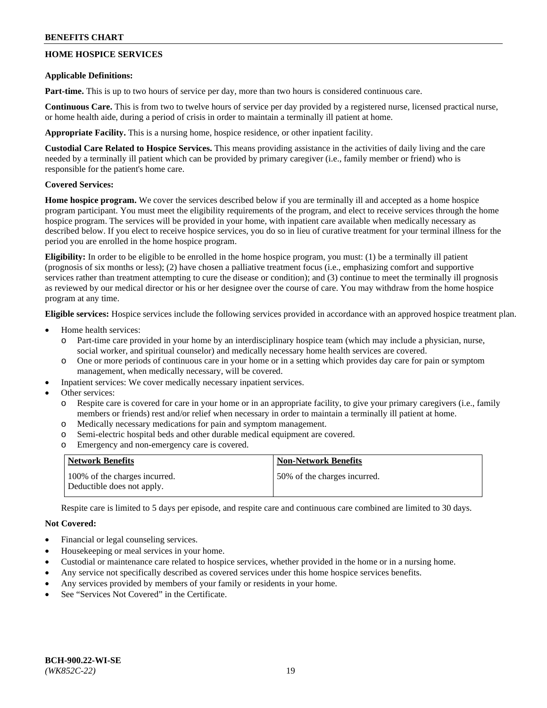## **HOME HOSPICE SERVICES**

### **Applicable Definitions:**

**Part-time.** This is up to two hours of service per day, more than two hours is considered continuous care.

**Continuous Care.** This is from two to twelve hours of service per day provided by a registered nurse, licensed practical nurse, or home health aide, during a period of crisis in order to maintain a terminally ill patient at home.

**Appropriate Facility.** This is a nursing home, hospice residence, or other inpatient facility.

**Custodial Care Related to Hospice Services.** This means providing assistance in the activities of daily living and the care needed by a terminally ill patient which can be provided by primary caregiver (i.e., family member or friend) who is responsible for the patient's home care.

## **Covered Services:**

**Home hospice program.** We cover the services described below if you are terminally ill and accepted as a home hospice program participant. You must meet the eligibility requirements of the program, and elect to receive services through the home hospice program. The services will be provided in your home, with inpatient care available when medically necessary as described below. If you elect to receive hospice services, you do so in lieu of curative treatment for your terminal illness for the period you are enrolled in the home hospice program.

**Eligibility:** In order to be eligible to be enrolled in the home hospice program, you must: (1) be a terminally ill patient (prognosis of six months or less); (2) have chosen a palliative treatment focus (i.e., emphasizing comfort and supportive services rather than treatment attempting to cure the disease or condition); and (3) continue to meet the terminally ill prognosis as reviewed by our medical director or his or her designee over the course of care. You may withdraw from the home hospice program at any time.

**Eligible services:** Hospice services include the following services provided in accordance with an approved hospice treatment plan.

- Home health services:
	- Part-time care provided in your home by an interdisciplinary hospice team (which may include a physician, nurse, social worker, and spiritual counselor) and medically necessary home health services are covered.
	- o One or more periods of continuous care in your home or in a setting which provides day care for pain or symptom management, when medically necessary, will be covered.
	- Inpatient services: We cover medically necessary inpatient services.
- Other services:
	- Respite care is covered for care in your home or in an appropriate facility, to give your primary caregivers (i.e., family members or friends) rest and/or relief when necessary in order to maintain a terminally ill patient at home.
	- o Medically necessary medications for pain and symptom management.
	- o Semi-electric hospital beds and other durable medical equipment are covered.
	- o Emergency and non-emergency care is covered.

| Network Benefits                                            | <b>Non-Network Benefits</b>  |
|-------------------------------------------------------------|------------------------------|
| 100% of the charges incurred.<br>Deductible does not apply. | 50% of the charges incurred. |

Respite care is limited to 5 days per episode, and respite care and continuous care combined are limited to 30 days.

## **Not Covered:**

- Financial or legal counseling services.
- Housekeeping or meal services in your home.
- Custodial or maintenance care related to hospice services, whether provided in the home or in a nursing home.
- Any service not specifically described as covered services under this home hospice services benefits.
- Any services provided by members of your family or residents in your home.
- See "Services Not Covered" in the Certificate.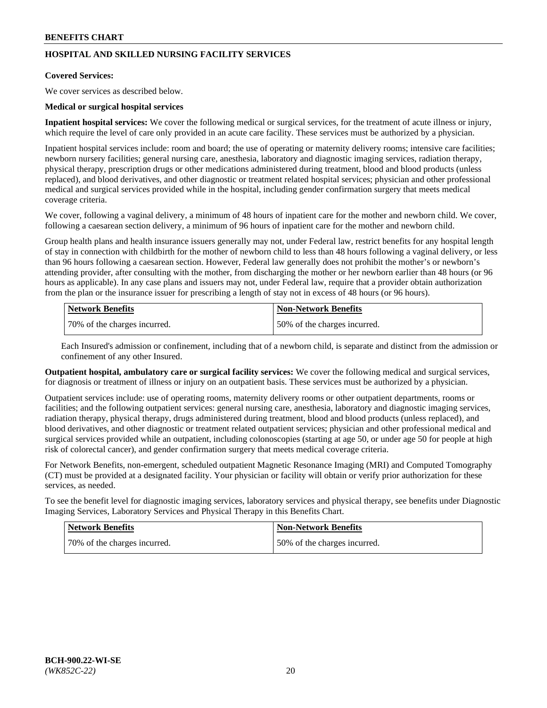## **HOSPITAL AND SKILLED NURSING FACILITY SERVICES**

#### **Covered Services:**

We cover services as described below.

### **Medical or surgical hospital services**

**Inpatient hospital services:** We cover the following medical or surgical services, for the treatment of acute illness or injury, which require the level of care only provided in an acute care facility. These services must be authorized by a physician.

Inpatient hospital services include: room and board; the use of operating or maternity delivery rooms; intensive care facilities; newborn nursery facilities; general nursing care, anesthesia, laboratory and diagnostic imaging services, radiation therapy, physical therapy, prescription drugs or other medications administered during treatment, blood and blood products (unless replaced), and blood derivatives, and other diagnostic or treatment related hospital services; physician and other professional medical and surgical services provided while in the hospital, including gender confirmation surgery that meets medical coverage criteria.

We cover, following a vaginal delivery, a minimum of 48 hours of inpatient care for the mother and newborn child. We cover, following a caesarean section delivery, a minimum of 96 hours of inpatient care for the mother and newborn child.

Group health plans and health insurance issuers generally may not, under Federal law, restrict benefits for any hospital length of stay in connection with childbirth for the mother of newborn child to less than 48 hours following a vaginal delivery, or less than 96 hours following a caesarean section. However, Federal law generally does not prohibit the mother's or newborn's attending provider, after consulting with the mother, from discharging the mother or her newborn earlier than 48 hours (or 96 hours as applicable). In any case plans and issuers may not, under Federal law, require that a provider obtain authorization from the plan or the insurance issuer for prescribing a length of stay not in excess of 48 hours (or 96 hours).

| Network Benefits             | Non-Network Benefits         |
|------------------------------|------------------------------|
| 70% of the charges incurred. | 50% of the charges incurred. |

Each Insured's admission or confinement, including that of a newborn child, is separate and distinct from the admission or confinement of any other Insured.

**Outpatient hospital, ambulatory care or surgical facility services:** We cover the following medical and surgical services, for diagnosis or treatment of illness or injury on an outpatient basis. These services must be authorized by a physician.

Outpatient services include: use of operating rooms, maternity delivery rooms or other outpatient departments, rooms or facilities; and the following outpatient services: general nursing care, anesthesia, laboratory and diagnostic imaging services, radiation therapy, physical therapy, drugs administered during treatment, blood and blood products (unless replaced), and blood derivatives, and other diagnostic or treatment related outpatient services; physician and other professional medical and surgical services provided while an outpatient, including colonoscopies (starting at age 50, or under age 50 for people at high risk of colorectal cancer), and gender confirmation surgery that meets medical coverage criteria.

For Network Benefits, non-emergent, scheduled outpatient Magnetic Resonance Imaging (MRI) and Computed Tomography (CT) must be provided at a designated facility. Your physician or facility will obtain or verify prior authorization for these services, as needed.

To see the benefit level for diagnostic imaging services, laboratory services and physical therapy, see benefits under Diagnostic Imaging Services, Laboratory Services and Physical Therapy in this Benefits Chart.

| <b>Network Benefits</b>      | <b>Non-Network Benefits</b>   |
|------------------------------|-------------------------------|
| 70% of the charges incurred. | 150% of the charges incurred. |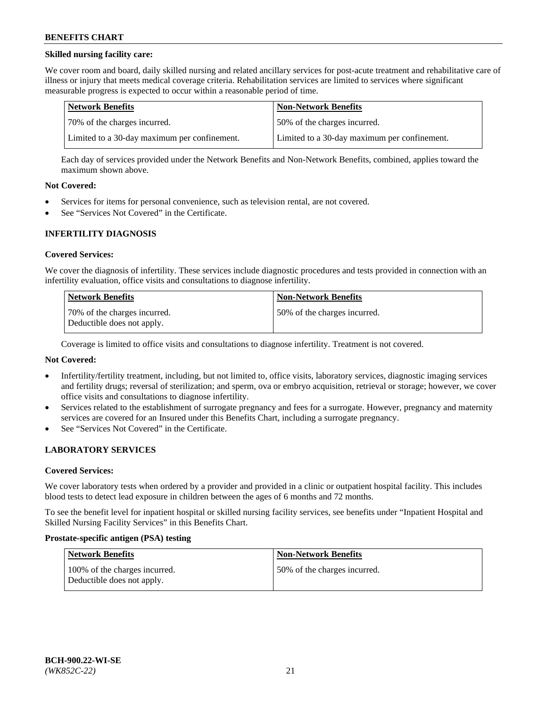## **Skilled nursing facility care:**

We cover room and board, daily skilled nursing and related ancillary services for post-acute treatment and rehabilitative care of illness or injury that meets medical coverage criteria. Rehabilitation services are limited to services where significant measurable progress is expected to occur within a reasonable period of time.

| Network Benefits                             | <b>Non-Network Benefits</b>                  |
|----------------------------------------------|----------------------------------------------|
| 70% of the charges incurred.                 | 50% of the charges incurred.                 |
| Limited to a 30-day maximum per confinement. | Limited to a 30-day maximum per confinement. |

Each day of services provided under the Network Benefits and Non-Network Benefits, combined, applies toward the maximum shown above.

### **Not Covered:**

- Services for items for personal convenience, such as television rental, are not covered.
- See "Services Not Covered" in the Certificate.

### **INFERTILITY DIAGNOSIS**

#### **Covered Services:**

We cover the diagnosis of infertility. These services include diagnostic procedures and tests provided in connection with an infertility evaluation, office visits and consultations to diagnose infertility.

| Network Benefits                                           | <b>Non-Network Benefits</b>  |
|------------------------------------------------------------|------------------------------|
| 70% of the charges incurred.<br>Deductible does not apply. | 50% of the charges incurred. |

Coverage is limited to office visits and consultations to diagnose infertility. Treatment is not covered.

## **Not Covered:**

- Infertility/fertility treatment, including, but not limited to, office visits, laboratory services, diagnostic imaging services and fertility drugs; reversal of sterilization; and sperm, ova or embryo acquisition, retrieval or storage; however, we cover office visits and consultations to diagnose infertility.
- Services related to the establishment of surrogate pregnancy and fees for a surrogate. However, pregnancy and maternity services are covered for an Insured under this Benefits Chart, including a surrogate pregnancy.
- See "Services Not Covered" in the Certificate.

## **LABORATORY SERVICES**

#### **Covered Services:**

We cover laboratory tests when ordered by a provider and provided in a clinic or outpatient hospital facility. This includes blood tests to detect lead exposure in children between the ages of 6 months and 72 months.

To see the benefit level for inpatient hospital or skilled nursing facility services, see benefits under "Inpatient Hospital and Skilled Nursing Facility Services" in this Benefits Chart.

#### **Prostate-specific antigen (PSA) testing**

| Network Benefits                                            | <b>Non-Network Benefits</b>  |
|-------------------------------------------------------------|------------------------------|
| 100% of the charges incurred.<br>Deductible does not apply. | 50% of the charges incurred. |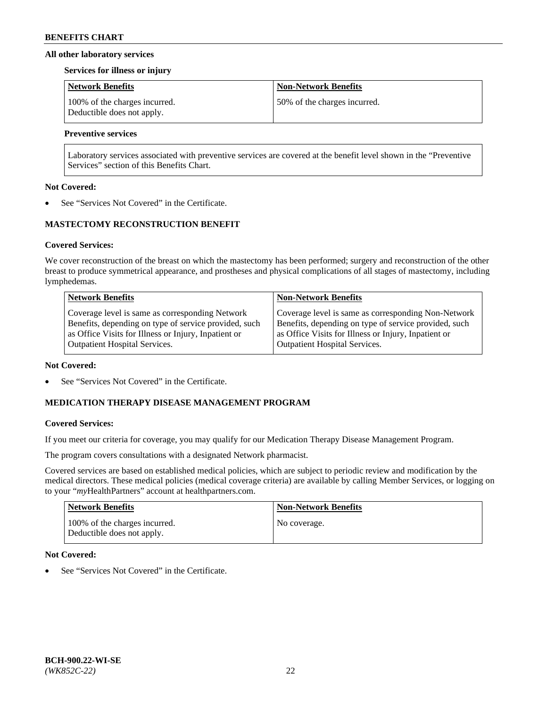### **All other laboratory services**

#### **Services for illness or injury**

| <b>Network Benefits</b>                                     | <b>Non-Network Benefits</b>  |
|-------------------------------------------------------------|------------------------------|
| 100% of the charges incurred.<br>Deductible does not apply. | 50% of the charges incurred. |

## **Preventive services**

Laboratory services associated with preventive services are covered at the benefit level shown in the "Preventive Services" section of this Benefits Chart.

### **Not Covered:**

See "Services Not Covered" in the Certificate.

## **MASTECTOMY RECONSTRUCTION BENEFIT**

### **Covered Services:**

We cover reconstruction of the breast on which the mastectomy has been performed; surgery and reconstruction of the other breast to produce symmetrical appearance, and prostheses and physical complications of all stages of mastectomy, including lymphedemas.

| <b>Network Benefits</b>                               | <b>Non-Network Benefits</b>                           |
|-------------------------------------------------------|-------------------------------------------------------|
| Coverage level is same as corresponding Network       | Coverage level is same as corresponding Non-Network   |
| Benefits, depending on type of service provided, such | Benefits, depending on type of service provided, such |
| as Office Visits for Illness or Injury, Inpatient or  | as Office Visits for Illness or Injury, Inpatient or  |
| <b>Outpatient Hospital Services.</b>                  | Outpatient Hospital Services.                         |

#### **Not Covered:**

See "Services Not Covered" in the Certificate.

## **MEDICATION THERAPY DISEASE MANAGEMENT PROGRAM**

## **Covered Services:**

If you meet our criteria for coverage, you may qualify for our Medication Therapy Disease Management Program.

The program covers consultations with a designated Network pharmacist.

Covered services are based on established medical policies, which are subject to periodic review and modification by the medical directors. These medical policies (medical coverage criteria) are available by calling Member Services, or logging on to your "*my*HealthPartners" account at [healthpartners.com.](http://www.healthpartners.com/)

| Network Benefits                                            | <b>Non-Network Benefits</b> |
|-------------------------------------------------------------|-----------------------------|
| 100% of the charges incurred.<br>Deductible does not apply. | No coverage.                |

## **Not Covered:**

See "Services Not Covered" in the Certificate.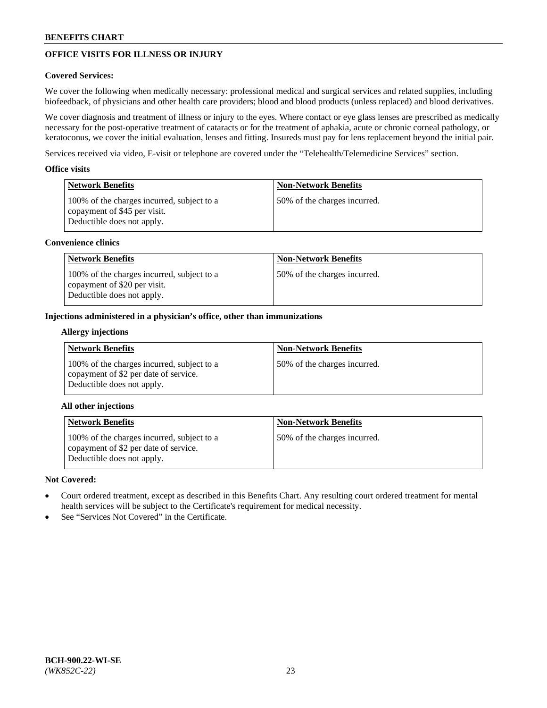# **OFFICE VISITS FOR ILLNESS OR INJURY**

## **Covered Services:**

We cover the following when medically necessary: professional medical and surgical services and related supplies, including biofeedback, of physicians and other health care providers; blood and blood products (unless replaced) and blood derivatives.

We cover diagnosis and treatment of illness or injury to the eyes. Where contact or eye glass lenses are prescribed as medically necessary for the post-operative treatment of cataracts or for the treatment of aphakia, acute or chronic corneal pathology, or keratoconus, we cover the initial evaluation, lenses and fitting. Insureds must pay for lens replacement beyond the initial pair.

Services received via video, E-visit or telephone are covered under the "Telehealth/Telemedicine Services" section.

### **Office visits**

| Network Benefits                                                                                         | <b>Non-Network Benefits</b>  |
|----------------------------------------------------------------------------------------------------------|------------------------------|
| 100% of the charges incurred, subject to a<br>copayment of \$45 per visit.<br>Deductible does not apply. | 50% of the charges incurred. |

### **Convenience clinics**

| <b>Network Benefits</b>                                                                                  | <b>Non-Network Benefits</b>  |
|----------------------------------------------------------------------------------------------------------|------------------------------|
| 100% of the charges incurred, subject to a<br>copayment of \$20 per visit.<br>Deductible does not apply. | 50% of the charges incurred. |

### **Injections administered in a physician's office, other than immunizations**

### **Allergy injections**

| <b>Network Benefits</b>                                                                                           | <b>Non-Network Benefits</b>  |
|-------------------------------------------------------------------------------------------------------------------|------------------------------|
| 100% of the charges incurred, subject to a<br>copayment of \$2 per date of service.<br>Deductible does not apply. | 50% of the charges incurred. |

## **All other injections**

| Network Benefits                                                                                                  | <b>Non-Network Benefits</b>  |
|-------------------------------------------------------------------------------------------------------------------|------------------------------|
| 100% of the charges incurred, subject to a<br>copayment of \$2 per date of service.<br>Deductible does not apply. | 50% of the charges incurred. |

## **Not Covered:**

- Court ordered treatment, except as described in this Benefits Chart. Any resulting court ordered treatment for mental health services will be subject to the Certificate's requirement for medical necessity.
- See "Services Not Covered" in the Certificate.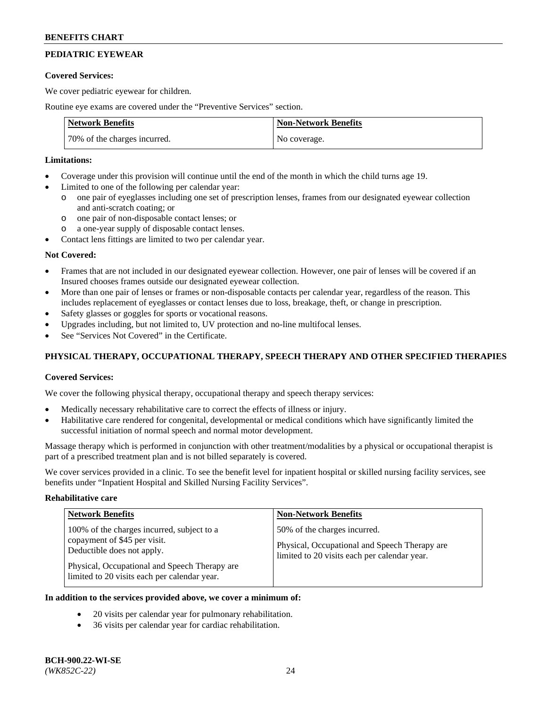# **PEDIATRIC EYEWEAR**

### **Covered Services:**

We cover pediatric eyewear for children.

Routine eye exams are covered under the "Preventive Services" section.

| <b>Network Benefits</b>      | <b>Non-Network Benefits</b> |
|------------------------------|-----------------------------|
| 70% of the charges incurred. | No coverage.                |

### **Limitations:**

- Coverage under this provision will continue until the end of the month in which the child turns age 19.
- Limited to one of the following per calendar year:
	- o one pair of eyeglasses including one set of prescription lenses, frames from our designated eyewear collection and anti-scratch coating; or
	- o one pair of non-disposable contact lenses; or
	- o a one-year supply of disposable contact lenses.
- Contact lens fittings are limited to two per calendar year.

## **Not Covered:**

- Frames that are not included in our designated eyewear collection. However, one pair of lenses will be covered if an Insured chooses frames outside our designated eyewear collection.
- More than one pair of lenses or frames or non-disposable contacts per calendar year, regardless of the reason. This includes replacement of eyeglasses or contact lenses due to loss, breakage, theft, or change in prescription.
- Safety glasses or goggles for sports or vocational reasons.
- Upgrades including, but not limited to, UV protection and no-line multifocal lenses.
- See "Services Not Covered" in the Certificate.

## **PHYSICAL THERAPY, OCCUPATIONAL THERAPY, SPEECH THERAPY AND OTHER SPECIFIED THERAPIES**

## **Covered Services:**

We cover the following physical therapy, occupational therapy and speech therapy services:

- Medically necessary rehabilitative care to correct the effects of illness or injury.
- Habilitative care rendered for congenital, developmental or medical conditions which have significantly limited the successful initiation of normal speech and normal motor development.

Massage therapy which is performed in conjunction with other treatment/modalities by a physical or occupational therapist is part of a prescribed treatment plan and is not billed separately is covered.

We cover services provided in a clinic. To see the benefit level for inpatient hospital or skilled nursing facility services, see benefits under "Inpatient Hospital and Skilled Nursing Facility Services".

#### **Rehabilitative care**

| <b>Network Benefits</b>                                                                                                                                                                                   | <b>Non-Network Benefits</b>                                                                                                   |
|-----------------------------------------------------------------------------------------------------------------------------------------------------------------------------------------------------------|-------------------------------------------------------------------------------------------------------------------------------|
| 100% of the charges incurred, subject to a<br>copayment of \$45 per visit.<br>Deductible does not apply.<br>Physical, Occupational and Speech Therapy are<br>limited to 20 visits each per calendar year. | 50% of the charges incurred.<br>Physical, Occupational and Speech Therapy are<br>limited to 20 visits each per calendar year. |

## **In addition to the services provided above, we cover a minimum of:**

- 20 visits per calendar year for pulmonary rehabilitation.
- 36 visits per calendar year for cardiac rehabilitation.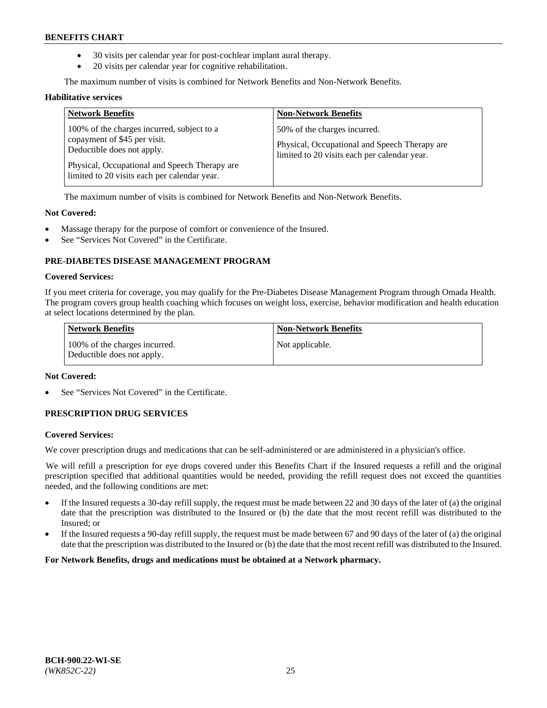- 30 visits per calendar year for post-cochlear implant aural therapy.
- 20 visits per calendar year for cognitive rehabilitation.

The maximum number of visits is combined for Network Benefits and Non-Network Benefits.

#### **Habilitative services**

| <b>Network Benefits</b>                                                                                                                                                                                   | <b>Non-Network Benefits</b>                                                                                                   |
|-----------------------------------------------------------------------------------------------------------------------------------------------------------------------------------------------------------|-------------------------------------------------------------------------------------------------------------------------------|
| 100% of the charges incurred, subject to a<br>copayment of \$45 per visit.<br>Deductible does not apply.<br>Physical, Occupational and Speech Therapy are<br>limited to 20 visits each per calendar year. | 50% of the charges incurred.<br>Physical, Occupational and Speech Therapy are<br>limited to 20 visits each per calendar year. |

The maximum number of visits is combined for Network Benefits and Non-Network Benefits.

### **Not Covered:**

- Massage therapy for the purpose of comfort or convenience of the Insured.
- See "Services Not Covered" in the Certificate.

## **PRE-DIABETES DISEASE MANAGEMENT PROGRAM**

#### **Covered Services:**

If you meet criteria for coverage, you may qualify for the Pre-Diabetes Disease Management Program through Omada Health. The program covers group health coaching which focuses on weight loss, exercise, behavior modification and health education at select locations determined by the plan.

| <b>Network Benefits</b>                                     | <b>Non-Network Benefits</b> |
|-------------------------------------------------------------|-----------------------------|
| 100% of the charges incurred.<br>Deductible does not apply. | Not applicable.             |

## **Not Covered:**

See "Services Not Covered" in the Certificate.

## **PRESCRIPTION DRUG SERVICES**

#### **Covered Services:**

We cover prescription drugs and medications that can be self-administered or are administered in a physician's office.

We will refill a prescription for eye drops covered under this Benefits Chart if the Insured requests a refill and the original prescription specified that additional quantities would be needed, providing the refill request does not exceed the quantities needed, and the following conditions are met:

- If the Insured requests a 30-day refill supply, the request must be made between 22 and 30 days of the later of (a) the original date that the prescription was distributed to the Insured or (b) the date that the most recent refill was distributed to the Insured; or
- If the Insured requests a 90-day refill supply, the request must be made between 67 and 90 days of the later of (a) the original date that the prescription was distributed to the Insured or (b) the date that the most recent refill was distributed to the Insured.

**For Network Benefits, drugs and medications must be obtained at a Network pharmacy.**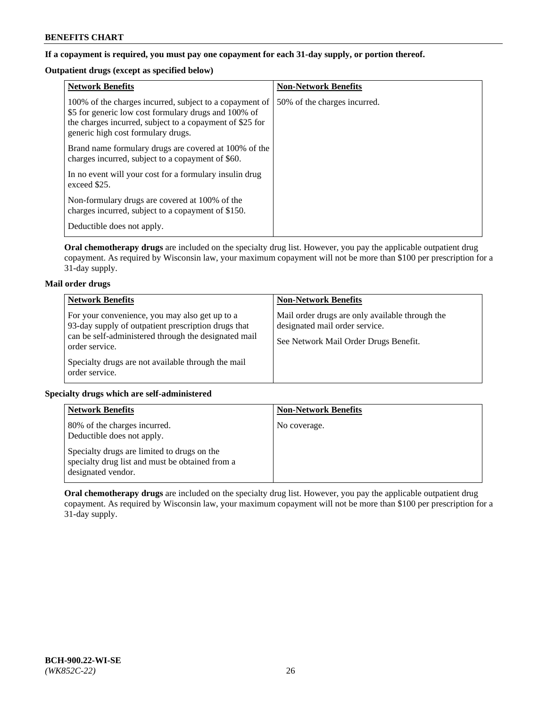## **If a copayment is required, you must pay one copayment for each 31-day supply, or portion thereof.**

# **Outpatient drugs (except as specified below)**

| <b>Network Benefits</b>                                                                                                                                                                                           | <b>Non-Network Benefits</b>  |
|-------------------------------------------------------------------------------------------------------------------------------------------------------------------------------------------------------------------|------------------------------|
| 100% of the charges incurred, subject to a copayment of<br>\$5 for generic low cost formulary drugs and 100% of<br>the charges incurred, subject to a copayment of \$25 for<br>generic high cost formulary drugs. | 50% of the charges incurred. |
| Brand name formulary drugs are covered at 100% of the<br>charges incurred, subject to a copayment of \$60.                                                                                                        |                              |
| In no event will your cost for a formulary insulin drug<br>exceed \$25.                                                                                                                                           |                              |
| Non-formulary drugs are covered at 100% of the<br>charges incurred, subject to a copayment of \$150.                                                                                                              |                              |
| Deductible does not apply.                                                                                                                                                                                        |                              |

**Oral chemotherapy drugs** are included on the specialty drug list. However, you pay the applicable outpatient drug copayment. As required by Wisconsin law, your maximum copayment will not be more than \$100 per prescription for a 31-day supply.

## **Mail order drugs**

| <b>Network Benefits</b>                                                                                                                                                         | <b>Non-Network Benefits</b>                                                                                                |
|---------------------------------------------------------------------------------------------------------------------------------------------------------------------------------|----------------------------------------------------------------------------------------------------------------------------|
| For your convenience, you may also get up to a<br>93-day supply of outpatient prescription drugs that<br>can be self-administered through the designated mail<br>order service. | Mail order drugs are only available through the<br>designated mail order service.<br>See Network Mail Order Drugs Benefit. |
| Specialty drugs are not available through the mail<br>order service.                                                                                                            |                                                                                                                            |

## **Specialty drugs which are self-administered**

| <b>Network Benefits</b>                                                                                              | <b>Non-Network Benefits</b> |
|----------------------------------------------------------------------------------------------------------------------|-----------------------------|
| 80% of the charges incurred.<br>Deductible does not apply.                                                           | No coverage.                |
| Specialty drugs are limited to drugs on the<br>specialty drug list and must be obtained from a<br>designated vendor. |                             |

**Oral chemotherapy drugs** are included on the specialty drug list. However, you pay the applicable outpatient drug copayment. As required by Wisconsin law, your maximum copayment will not be more than \$100 per prescription for a 31-day supply.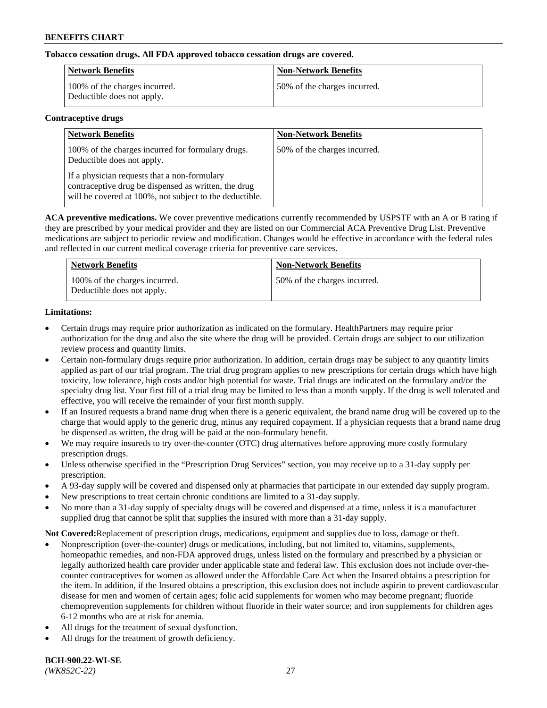## **Tobacco cessation drugs. All FDA approved tobacco cessation drugs are covered.**

| Network Benefits                                            | <b>Non-Network Benefits</b>  |
|-------------------------------------------------------------|------------------------------|
| 100% of the charges incurred.<br>Deductible does not apply. | 50% of the charges incurred. |

### **Contraceptive drugs**

| <b>Network Benefits</b>                                                                                                                                         | <b>Non-Network Benefits</b>  |
|-----------------------------------------------------------------------------------------------------------------------------------------------------------------|------------------------------|
| 100% of the charges incurred for formulary drugs.<br>Deductible does not apply.                                                                                 | 50% of the charges incurred. |
| If a physician requests that a non-formulary<br>contraceptive drug be dispensed as written, the drug<br>will be covered at 100%, not subject to the deductible. |                              |

**ACA preventive medications.** We cover preventive medications currently recommended by USPSTF with an A or B rating if they are prescribed by your medical provider and they are listed on our Commercial ACA Preventive Drug List. Preventive medications are subject to periodic review and modification. Changes would be effective in accordance with the federal rules and reflected in our current medical coverage criteria for preventive care services.

| <b>Network Benefits</b>                                     | <b>Non-Network Benefits</b>  |
|-------------------------------------------------------------|------------------------------|
| 100% of the charges incurred.<br>Deductible does not apply. | 50% of the charges incurred. |

## **Limitations:**

- Certain drugs may require prior authorization as indicated on the formulary. HealthPartners may require prior authorization for the drug and also the site where the drug will be provided. Certain drugs are subject to our utilization review process and quantity limits.
- Certain non-formulary drugs require prior authorization. In addition, certain drugs may be subject to any quantity limits applied as part of our trial program. The trial drug program applies to new prescriptions for certain drugs which have high toxicity, low tolerance, high costs and/or high potential for waste. Trial drugs are indicated on the formulary and/or the specialty drug list. Your first fill of a trial drug may be limited to less than a month supply. If the drug is well tolerated and effective, you will receive the remainder of your first month supply.
- If an Insured requests a brand name drug when there is a generic equivalent, the brand name drug will be covered up to the charge that would apply to the generic drug, minus any required copayment. If a physician requests that a brand name drug be dispensed as written, the drug will be paid at the non-formulary benefit.
- We may require insureds to try over-the-counter (OTC) drug alternatives before approving more costly formulary prescription drugs.
- Unless otherwise specified in the "Prescription Drug Services" section, you may receive up to a 31-day supply per prescription.
- A 93-day supply will be covered and dispensed only at pharmacies that participate in our extended day supply program.
- New prescriptions to treat certain chronic conditions are limited to a 31-day supply.
- No more than a 31-day supply of specialty drugs will be covered and dispensed at a time, unless it is a manufacturer supplied drug that cannot be split that supplies the insured with more than a 31-day supply.

**Not Covered:**Replacement of prescription drugs, medications, equipment and supplies due to loss, damage or theft.

- Nonprescription (over-the-counter) drugs or medications, including, but not limited to, vitamins, supplements, homeopathic remedies, and non-FDA approved drugs, unless listed on the formulary and prescribed by a physician or legally authorized health care provider under applicable state and federal law. This exclusion does not include over-thecounter contraceptives for women as allowed under the Affordable Care Act when the Insured obtains a prescription for the item. In addition, if the Insured obtains a prescription, this exclusion does not include aspirin to prevent cardiovascular disease for men and women of certain ages; folic acid supplements for women who may become pregnant; fluoride chemoprevention supplements for children without fluoride in their water source; and iron supplements for children ages 6-12 months who are at risk for anemia.
- All drugs for the treatment of sexual dysfunction.
- All drugs for the treatment of growth deficiency.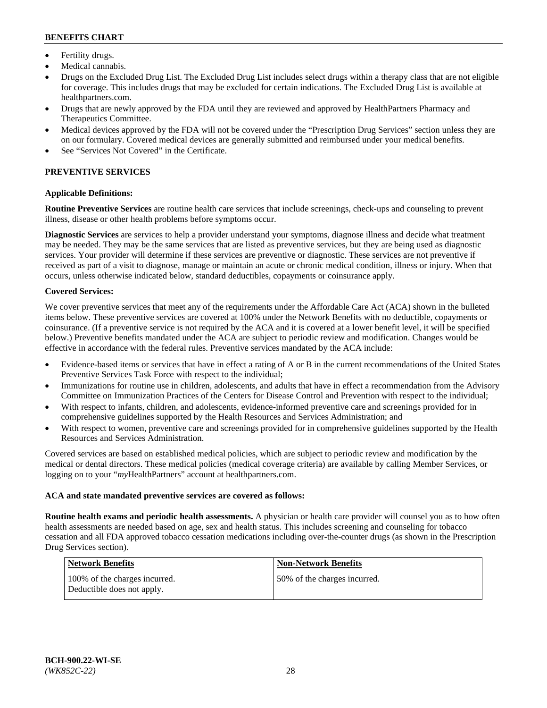- Fertility drugs.
- Medical cannabis.
- Drugs on the Excluded Drug List. The Excluded Drug List includes select drugs within a therapy class that are not eligible for coverage. This includes drugs that may be excluded for certain indications. The Excluded Drug List is available at [healthpartners.com.](http://www.healthpartners.com/)
- Drugs that are newly approved by the FDA until they are reviewed and approved by HealthPartners Pharmacy and Therapeutics Committee.
- Medical devices approved by the FDA will not be covered under the "Prescription Drug Services" section unless they are on our formulary. Covered medical devices are generally submitted and reimbursed under your medical benefits.
- See "Services Not Covered" in the Certificate.

## **PREVENTIVE SERVICES**

### **Applicable Definitions:**

**Routine Preventive Services** are routine health care services that include screenings, check-ups and counseling to prevent illness, disease or other health problems before symptoms occur.

**Diagnostic Services** are services to help a provider understand your symptoms, diagnose illness and decide what treatment may be needed. They may be the same services that are listed as preventive services, but they are being used as diagnostic services. Your provider will determine if these services are preventive or diagnostic. These services are not preventive if received as part of a visit to diagnose, manage or maintain an acute or chronic medical condition, illness or injury. When that occurs, unless otherwise indicated below, standard deductibles, copayments or coinsurance apply.

### **Covered Services:**

We cover preventive services that meet any of the requirements under the Affordable Care Act (ACA) shown in the bulleted items below. These preventive services are covered at 100% under the Network Benefits with no deductible, copayments or coinsurance. (If a preventive service is not required by the ACA and it is covered at a lower benefit level, it will be specified below.) Preventive benefits mandated under the ACA are subject to periodic review and modification. Changes would be effective in accordance with the federal rules. Preventive services mandated by the ACA include:

- Evidence-based items or services that have in effect a rating of A or B in the current recommendations of the United States Preventive Services Task Force with respect to the individual;
- Immunizations for routine use in children, adolescents, and adults that have in effect a recommendation from the Advisory Committee on Immunization Practices of the Centers for Disease Control and Prevention with respect to the individual;
- With respect to infants, children, and adolescents, evidence-informed preventive care and screenings provided for in comprehensive guidelines supported by the Health Resources and Services Administration; and
- With respect to women, preventive care and screenings provided for in comprehensive guidelines supported by the Health Resources and Services Administration.

Covered services are based on established medical policies, which are subject to periodic review and modification by the medical or dental directors. These medical policies (medical coverage criteria) are available by calling Member Services, or logging on to your "*my*HealthPartners" account at [healthpartners.com.](https://www.healthpartners.com/hp/index.html)

#### **ACA and state mandated preventive services are covered as follows:**

**Routine health exams and periodic health assessments.** A physician or health care provider will counsel you as to how often health assessments are needed based on age, sex and health status. This includes screening and counseling for tobacco cessation and all FDA approved tobacco cessation medications including over-the-counter drugs (as shown in the Prescription Drug Services section).

| <b>Network Benefits</b>                                     | <b>Non-Network Benefits</b>  |
|-------------------------------------------------------------|------------------------------|
| 100% of the charges incurred.<br>Deductible does not apply. | 50% of the charges incurred. |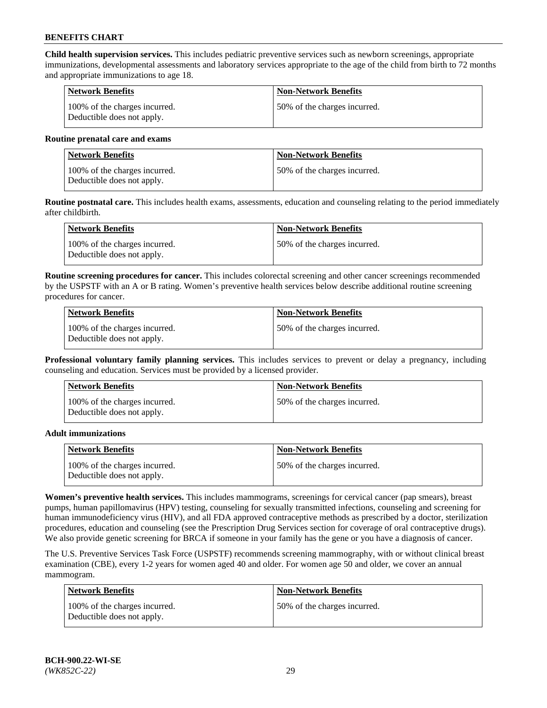**Child health supervision services.** This includes pediatric preventive services such as newborn screenings, appropriate immunizations, developmental assessments and laboratory services appropriate to the age of the child from birth to 72 months and appropriate immunizations to age 18.

| Network Benefits                                            | <b>Non-Network Benefits</b>  |
|-------------------------------------------------------------|------------------------------|
| 100% of the charges incurred.<br>Deductible does not apply. | 50% of the charges incurred. |

#### **Routine prenatal care and exams**

| Network Benefits                                            | <b>Non-Network Benefits</b>  |
|-------------------------------------------------------------|------------------------------|
| 100% of the charges incurred.<br>Deductible does not apply. | 50% of the charges incurred. |

**Routine postnatal care.** This includes health exams, assessments, education and counseling relating to the period immediately after childbirth.

| <b>Network Benefits</b>                                     | <b>Non-Network Benefits</b>  |
|-------------------------------------------------------------|------------------------------|
| 100% of the charges incurred.<br>Deductible does not apply. | 50% of the charges incurred. |

**Routine screening procedures for cancer.** This includes colorectal screening and other cancer screenings recommended by the USPSTF with an A or B rating. Women's preventive health services below describe additional routine screening procedures for cancer.

| Network Benefits                                            | <b>Non-Network Benefits</b>  |
|-------------------------------------------------------------|------------------------------|
| 100% of the charges incurred.<br>Deductible does not apply. | 50% of the charges incurred. |

**Professional voluntary family planning services.** This includes services to prevent or delay a pregnancy, including counseling and education. Services must be provided by a licensed provider.

| <b>Network Benefits</b>                                     | <b>Non-Network Benefits</b>  |
|-------------------------------------------------------------|------------------------------|
| 100% of the charges incurred.<br>Deductible does not apply. | 50% of the charges incurred. |

#### **Adult immunizations**

| <b>Network Benefits</b>                                     | <b>Non-Network Benefits</b>  |
|-------------------------------------------------------------|------------------------------|
| 100% of the charges incurred.<br>Deductible does not apply. | 50% of the charges incurred. |

**Women's preventive health services.** This includes mammograms, screenings for cervical cancer (pap smears), breast pumps, human papillomavirus (HPV) testing, counseling for sexually transmitted infections, counseling and screening for human immunodeficiency virus (HIV), and all FDA approved contraceptive methods as prescribed by a doctor, sterilization procedures, education and counseling (see the Prescription Drug Services section for coverage of oral contraceptive drugs). We also provide genetic screening for BRCA if someone in your family has the gene or you have a diagnosis of cancer.

The U.S. Preventive Services Task Force (USPSTF) recommends screening mammography, with or without clinical breast examination (CBE), every 1-2 years for women aged 40 and older. For women age 50 and older, we cover an annual mammogram.

| <b>Network Benefits</b>                                     | <b>Non-Network Benefits</b>   |
|-------------------------------------------------------------|-------------------------------|
| 100% of the charges incurred.<br>Deductible does not apply. | 150% of the charges incurred. |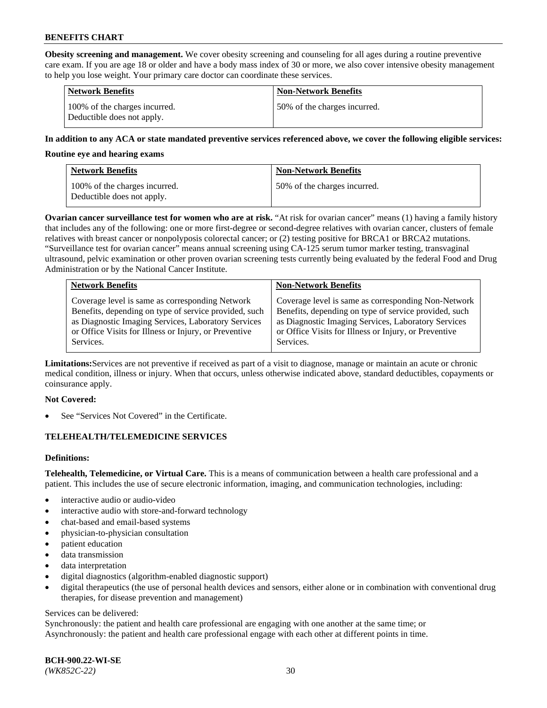**Obesity screening and management.** We cover obesity screening and counseling for all ages during a routine preventive care exam. If you are age 18 or older and have a body mass index of 30 or more, we also cover intensive obesity management to help you lose weight. Your primary care doctor can coordinate these services.

| <b>Network Benefits</b>                                     | <b>Non-Network Benefits</b>  |
|-------------------------------------------------------------|------------------------------|
| 100% of the charges incurred.<br>Deductible does not apply. | 50% of the charges incurred. |

### **In addition to any ACA or state mandated preventive services referenced above, we cover the following eligible services:**

#### **Routine eye and hearing exams**

| <b>Network Benefits</b>                                     | <b>Non-Network Benefits</b>  |
|-------------------------------------------------------------|------------------------------|
| 100% of the charges incurred.<br>Deductible does not apply. | 50% of the charges incurred. |

**Ovarian cancer surveillance test for women who are at risk.** "At risk for ovarian cancer" means (1) having a family history that includes any of the following: one or more first-degree or second-degree relatives with ovarian cancer, clusters of female relatives with breast cancer or nonpolyposis colorectal cancer; or (2) testing positive for BRCA1 or BRCA2 mutations. "Surveillance test for ovarian cancer" means annual screening using CA-125 serum tumor marker testing, transvaginal ultrasound, pelvic examination or other proven ovarian screening tests currently being evaluated by the federal Food and Drug Administration or by the National Cancer Institute.

| <b>Network Benefits</b>                               | <b>Non-Network Benefits</b>                           |
|-------------------------------------------------------|-------------------------------------------------------|
| Coverage level is same as corresponding Network       | Coverage level is same as corresponding Non-Network   |
| Benefits, depending on type of service provided, such | Benefits, depending on type of service provided, such |
| as Diagnostic Imaging Services, Laboratory Services   | as Diagnostic Imaging Services, Laboratory Services   |
| or Office Visits for Illness or Injury, or Preventive | or Office Visits for Illness or Injury, or Preventive |
| Services.                                             | Services.                                             |

**Limitations:**Services are not preventive if received as part of a visit to diagnose, manage or maintain an acute or chronic medical condition, illness or injury. When that occurs, unless otherwise indicated above, standard deductibles, copayments or coinsurance apply.

#### **Not Covered:**

See "Services Not Covered" in the Certificate.

## **TELEHEALTH/TELEMEDICINE SERVICES**

## **Definitions:**

**Telehealth, Telemedicine, or Virtual Care.** This is a means of communication between a health care professional and a patient. This includes the use of secure electronic information, imaging, and communication technologies, including:

- interactive audio or audio-video
- interactive audio with store-and-forward technology
- chat-based and email-based systems
- physician-to-physician consultation
- patient education
- data transmission
- data interpretation
- digital diagnostics (algorithm-enabled diagnostic support)
- digital therapeutics (the use of personal health devices and sensors, either alone or in combination with conventional drug therapies, for disease prevention and management)

#### Services can be delivered:

Synchronously: the patient and health care professional are engaging with one another at the same time; or Asynchronously: the patient and health care professional engage with each other at different points in time.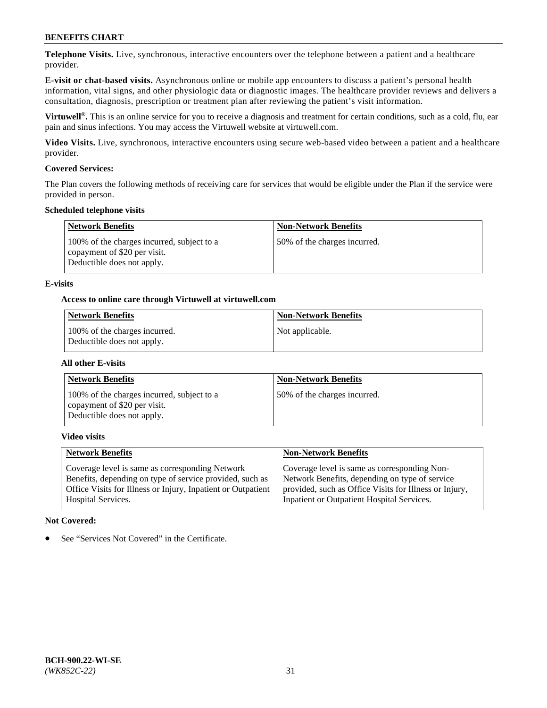**Telephone Visits.** Live, synchronous, interactive encounters over the telephone between a patient and a healthcare provider.

**E-visit or chat-based visits.** Asynchronous online or mobile app encounters to discuss a patient's personal health information, vital signs, and other physiologic data or diagnostic images. The healthcare provider reviews and delivers a consultation, diagnosis, prescription or treatment plan after reviewing the patient's visit information.

**Virtuwell®.** This is an online service for you to receive a diagnosis and treatment for certain conditions, such as a cold, flu, ear pain and sinus infections. You may access the Virtuwell website at [virtuwell.com.](https://www.virtuwell.com/)

**Video Visits.** Live, synchronous, interactive encounters using secure web-based video between a patient and a healthcare provider.

### **Covered Services:**

The Plan covers the following methods of receiving care for services that would be eligible under the Plan if the service were provided in person.

#### **Scheduled telephone visits**

| <b>Network Benefits</b>                                                                                  | <b>Non-Network Benefits</b>  |
|----------------------------------------------------------------------------------------------------------|------------------------------|
| 100% of the charges incurred, subject to a<br>copayment of \$20 per visit.<br>Deductible does not apply. | 50% of the charges incurred. |

### **E-visits**

### **Access to online care through Virtuwell at [virtuwell.com](https://www.virtuwell.com/)**

| Network Benefits                                            | <b>Non-Network Benefits</b> |
|-------------------------------------------------------------|-----------------------------|
| 100% of the charges incurred.<br>Deductible does not apply. | Not applicable.             |

#### **All other E-visits**

| <b>Network Benefits</b>                                                                                  | <b>Non-Network Benefits</b>  |
|----------------------------------------------------------------------------------------------------------|------------------------------|
| 100% of the charges incurred, subject to a<br>copayment of \$20 per visit.<br>Deductible does not apply. | 50% of the charges incurred. |

### **Video visits**

| <b>Network Benefits</b>                                      | <b>Non-Network Benefits</b>                            |
|--------------------------------------------------------------|--------------------------------------------------------|
| Coverage level is same as corresponding Network              | Coverage level is same as corresponding Non-           |
| Benefits, depending on type of service provided, such as     | Network Benefits, depending on type of service         |
| Office Visits for Illness or Injury, Inpatient or Outpatient | provided, such as Office Visits for Illness or Injury, |
| <b>Hospital Services.</b>                                    | Inpatient or Outpatient Hospital Services.             |

#### **Not Covered:**

See "Services Not Covered" in the Certificate.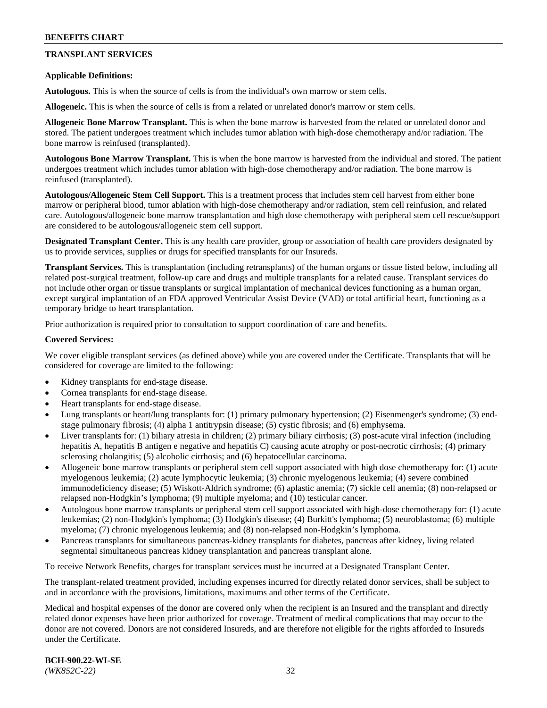## **TRANSPLANT SERVICES**

#### **Applicable Definitions:**

**Autologous.** This is when the source of cells is from the individual's own marrow or stem cells.

**Allogeneic.** This is when the source of cells is from a related or unrelated donor's marrow or stem cells.

**Allogeneic Bone Marrow Transplant.** This is when the bone marrow is harvested from the related or unrelated donor and stored. The patient undergoes treatment which includes tumor ablation with high-dose chemotherapy and/or radiation. The bone marrow is reinfused (transplanted).

**Autologous Bone Marrow Transplant.** This is when the bone marrow is harvested from the individual and stored. The patient undergoes treatment which includes tumor ablation with high-dose chemotherapy and/or radiation. The bone marrow is reinfused (transplanted).

**Autologous/Allogeneic Stem Cell Support.** This is a treatment process that includes stem cell harvest from either bone marrow or peripheral blood, tumor ablation with high-dose chemotherapy and/or radiation, stem cell reinfusion, and related care. Autologous/allogeneic bone marrow transplantation and high dose chemotherapy with peripheral stem cell rescue/support are considered to be autologous/allogeneic stem cell support.

**Designated Transplant Center.** This is any health care provider, group or association of health care providers designated by us to provide services, supplies or drugs for specified transplants for our Insureds.

**Transplant Services.** This is transplantation (including retransplants) of the human organs or tissue listed below, including all related post-surgical treatment, follow-up care and drugs and multiple transplants for a related cause. Transplant services do not include other organ or tissue transplants or surgical implantation of mechanical devices functioning as a human organ, except surgical implantation of an FDA approved Ventricular Assist Device (VAD) or total artificial heart, functioning as a temporary bridge to heart transplantation.

Prior authorization is required prior to consultation to support coordination of care and benefits.

### **Covered Services:**

We cover eligible transplant services (as defined above) while you are covered under the Certificate. Transplants that will be considered for coverage are limited to the following:

- Kidney transplants for end-stage disease.
- Cornea transplants for end-stage disease.
- Heart transplants for end-stage disease.
- Lung transplants or heart/lung transplants for: (1) primary pulmonary hypertension; (2) Eisenmenger's syndrome; (3) endstage pulmonary fibrosis; (4) alpha 1 antitrypsin disease; (5) cystic fibrosis; and (6) emphysema.
- Liver transplants for: (1) biliary atresia in children; (2) primary biliary cirrhosis; (3) post-acute viral infection (including hepatitis A, hepatitis B antigen e negative and hepatitis C) causing acute atrophy or post-necrotic cirrhosis; (4) primary sclerosing cholangitis; (5) alcoholic cirrhosis; and (6) hepatocellular carcinoma.
- Allogeneic bone marrow transplants or peripheral stem cell support associated with high dose chemotherapy for: (1) acute myelogenous leukemia; (2) acute lymphocytic leukemia; (3) chronic myelogenous leukemia; (4) severe combined immunodeficiency disease; (5) Wiskott-Aldrich syndrome; (6) aplastic anemia; (7) sickle cell anemia; (8) non-relapsed or relapsed non-Hodgkin's lymphoma; (9) multiple myeloma; and (10) testicular cancer.
- Autologous bone marrow transplants or peripheral stem cell support associated with high-dose chemotherapy for: (1) acute leukemias; (2) non-Hodgkin's lymphoma; (3) Hodgkin's disease; (4) Burkitt's lymphoma; (5) neuroblastoma; (6) multiple myeloma; (7) chronic myelogenous leukemia; and (8) non-relapsed non-Hodgkin's lymphoma.
- Pancreas transplants for simultaneous pancreas-kidney transplants for diabetes, pancreas after kidney, living related segmental simultaneous pancreas kidney transplantation and pancreas transplant alone.

To receive Network Benefits, charges for transplant services must be incurred at a Designated Transplant Center.

The transplant-related treatment provided, including expenses incurred for directly related donor services, shall be subject to and in accordance with the provisions, limitations, maximums and other terms of the Certificate.

Medical and hospital expenses of the donor are covered only when the recipient is an Insured and the transplant and directly related donor expenses have been prior authorized for coverage. Treatment of medical complications that may occur to the donor are not covered. Donors are not considered Insureds, and are therefore not eligible for the rights afforded to Insureds under the Certificate.